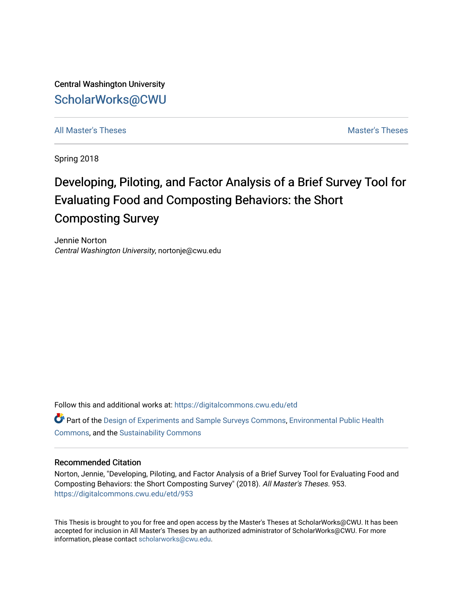Central Washington University [ScholarWorks@CWU](https://digitalcommons.cwu.edu/) 

[All Master's Theses](https://digitalcommons.cwu.edu/etd) and the set of the set of the set of the set of the set of the set of the set of the set of the set of the set of the set of the set of the set of the set of the set of the set of the set of the set of

Spring 2018

# Developing, Piloting, and Factor Analysis of a Brief Survey Tool for Evaluating Food and Composting Behaviors: the Short Composting Survey

Jennie Norton Central Washington University, nortonje@cwu.edu

Follow this and additional works at: [https://digitalcommons.cwu.edu/etd](https://digitalcommons.cwu.edu/etd?utm_source=digitalcommons.cwu.edu%2Fetd%2F953&utm_medium=PDF&utm_campaign=PDFCoverPages) 

Part of the [Design of Experiments and Sample Surveys Commons](http://network.bepress.com/hgg/discipline/821?utm_source=digitalcommons.cwu.edu%2Fetd%2F953&utm_medium=PDF&utm_campaign=PDFCoverPages), [Environmental Public Health](http://network.bepress.com/hgg/discipline/739?utm_source=digitalcommons.cwu.edu%2Fetd%2F953&utm_medium=PDF&utm_campaign=PDFCoverPages)  [Commons](http://network.bepress.com/hgg/discipline/739?utm_source=digitalcommons.cwu.edu%2Fetd%2F953&utm_medium=PDF&utm_campaign=PDFCoverPages), and the [Sustainability Commons](http://network.bepress.com/hgg/discipline/1031?utm_source=digitalcommons.cwu.edu%2Fetd%2F953&utm_medium=PDF&utm_campaign=PDFCoverPages)

#### Recommended Citation

Norton, Jennie, "Developing, Piloting, and Factor Analysis of a Brief Survey Tool for Evaluating Food and Composting Behaviors: the Short Composting Survey" (2018). All Master's Theses. 953. [https://digitalcommons.cwu.edu/etd/953](https://digitalcommons.cwu.edu/etd/953?utm_source=digitalcommons.cwu.edu%2Fetd%2F953&utm_medium=PDF&utm_campaign=PDFCoverPages) 

This Thesis is brought to you for free and open access by the Master's Theses at ScholarWorks@CWU. It has been accepted for inclusion in All Master's Theses by an authorized administrator of ScholarWorks@CWU. For more information, please contact [scholarworks@cwu.edu.](mailto:scholarworks@cwu.edu)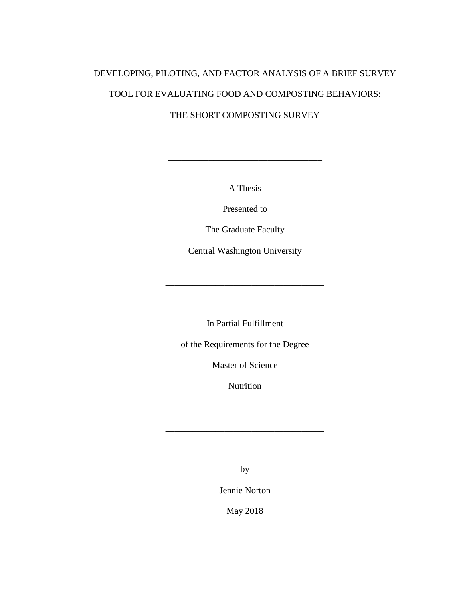# DEVELOPING, PILOTING, AND FACTOR ANALYSIS OF A BRIEF SURVEY TOOL FOR EVALUATING FOOD AND COMPOSTING BEHAVIORS:

## THE SHORT COMPOSTING SURVEY

A Thesis

\_\_\_\_\_\_\_\_\_\_\_\_\_\_\_\_\_\_\_\_\_\_\_\_\_\_\_\_\_\_\_\_\_\_

Presented to

The Graduate Faculty

Central Washington University

\_\_\_\_\_\_\_\_\_\_\_\_\_\_\_\_\_\_\_\_\_\_\_\_\_\_\_\_\_\_\_\_\_\_\_

In Partial Fulfillment

of the Requirements for the Degree

Master of Science

Nutrition

\_\_\_\_\_\_\_\_\_\_\_\_\_\_\_\_\_\_\_\_\_\_\_\_\_\_\_\_\_\_\_\_\_\_\_

by

Jennie Norton

May 2018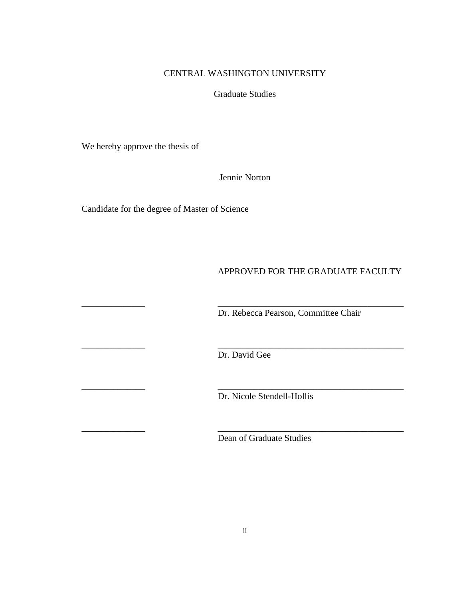## CENTRAL WASHINGTON UNIVERSITY

Graduate Studies

We hereby approve the thesis of

Jennie Norton

Candidate for the degree of Master of Science

## APPROVED FOR THE GRADUATE FACULTY

Dr. Rebecca Pearson, Committee Chair

\_\_\_\_\_\_\_\_\_\_\_\_\_\_ \_\_\_\_\_\_\_\_\_\_\_\_\_\_\_\_\_\_\_\_\_\_\_\_\_\_\_\_\_\_\_\_\_\_\_\_\_\_\_\_\_ Dr. David Gee

\_\_\_\_\_\_\_\_\_\_\_\_\_\_ \_\_\_\_\_\_\_\_\_\_\_\_\_\_\_\_\_\_\_\_\_\_\_\_\_\_\_\_\_\_\_\_\_\_\_\_\_\_\_\_\_

\_\_\_\_\_\_\_\_\_\_\_\_\_\_ \_\_\_\_\_\_\_\_\_\_\_\_\_\_\_\_\_\_\_\_\_\_\_\_\_\_\_\_\_\_\_\_\_\_\_\_\_\_\_\_\_

\_\_\_\_\_\_\_\_\_\_\_\_\_\_ \_\_\_\_\_\_\_\_\_\_\_\_\_\_\_\_\_\_\_\_\_\_\_\_\_\_\_\_\_\_\_\_\_\_\_\_\_\_\_\_\_

Dr. Nicole Stendell-Hollis

Dean of Graduate Studies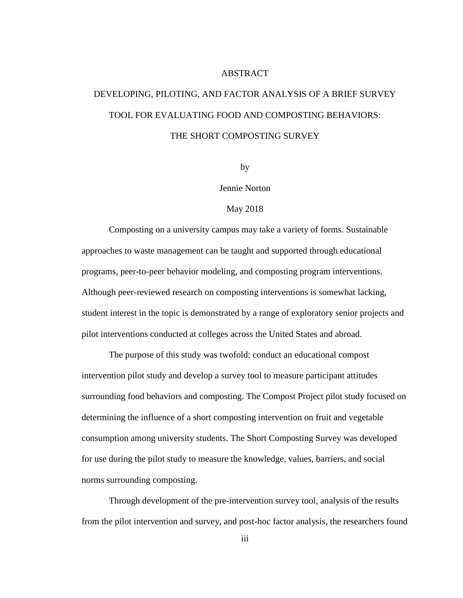#### ABSTRACT

# DEVELOPING, PILOTING, AND FACTOR ANALYSIS OF A BRIEF SURVEY TOOL FOR EVALUATING FOOD AND COMPOSTING BEHAVIORS: THE SHORT COMPOSTING SURVEY

by

#### Jennie Norton

#### May 2018

Composting on a university campus may take a variety of forms. Sustainable approaches to waste management can be taught and supported through educational programs, peer-to-peer behavior modeling, and composting program interventions. Although peer-reviewed research on composting interventions is somewhat lacking, student interest in the topic is demonstrated by a range of exploratory senior projects and pilot interventions conducted at colleges across the United States and abroad.

The purpose of this study was twofold: conduct an educational compost intervention pilot study and develop a survey tool to measure participant attitudes surrounding food behaviors and composting. The Compost Project pilot study focused on determining the influence of a short composting intervention on fruit and vegetable consumption among university students. The Short Composting Survey was developed for use during the pilot study to measure the knowledge, values, barriers, and social norms surrounding composting.

Through development of the pre-intervention survey tool, analysis of the results from the pilot intervention and survey, and post-hoc factor analysis, the researchers found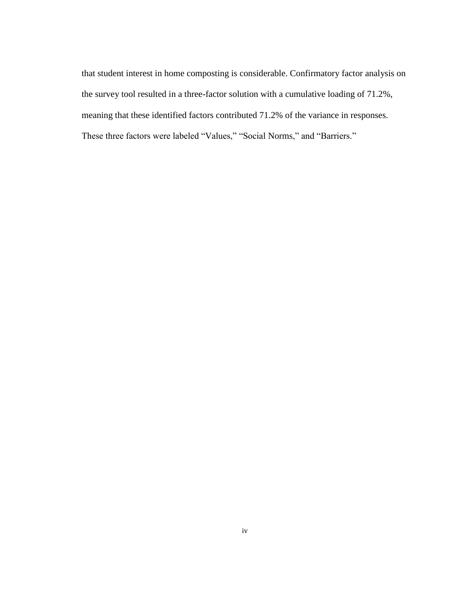that student interest in home composting is considerable. Confirmatory factor analysis on the survey tool resulted in a three-factor solution with a cumulative loading of 71.2%, meaning that these identified factors contributed 71.2% of the variance in responses. These three factors were labeled "Values," "Social Norms," and "Barriers."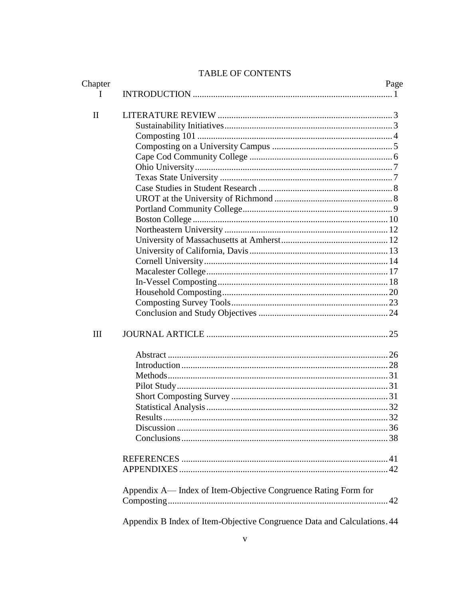# TABLE OF CONTENTS

| Chapter      |                                                                         | Page |
|--------------|-------------------------------------------------------------------------|------|
| I.           |                                                                         |      |
| $\mathbf{I}$ |                                                                         |      |
|              |                                                                         |      |
|              |                                                                         |      |
|              |                                                                         |      |
|              |                                                                         |      |
|              |                                                                         |      |
|              |                                                                         |      |
|              |                                                                         |      |
|              |                                                                         |      |
|              |                                                                         |      |
|              |                                                                         |      |
|              |                                                                         |      |
|              |                                                                         |      |
|              |                                                                         |      |
|              |                                                                         |      |
|              |                                                                         |      |
|              |                                                                         |      |
|              |                                                                         |      |
|              |                                                                         |      |
|              |                                                                         |      |
| III          |                                                                         |      |
|              |                                                                         |      |
|              |                                                                         |      |
|              |                                                                         |      |
|              |                                                                         |      |
|              |                                                                         |      |
|              |                                                                         |      |
|              |                                                                         |      |
|              |                                                                         |      |
|              |                                                                         |      |
|              |                                                                         |      |
|              |                                                                         |      |
|              | Appendix A— Index of Item-Objective Congruence Rating Form for          |      |
|              |                                                                         |      |
|              | Appendix B Index of Item-Objective Congruence Data and Calculations. 44 |      |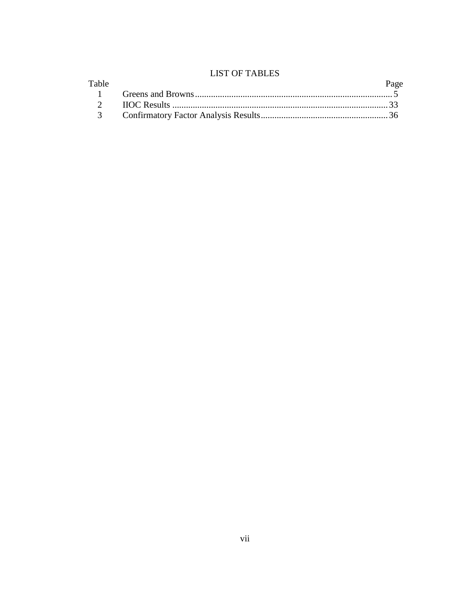# **LIST OF TABLES**

|       | LIVI VI TINDLED |      |
|-------|-----------------|------|
| Table |                 | Page |
|       |                 |      |
|       |                 |      |
|       |                 |      |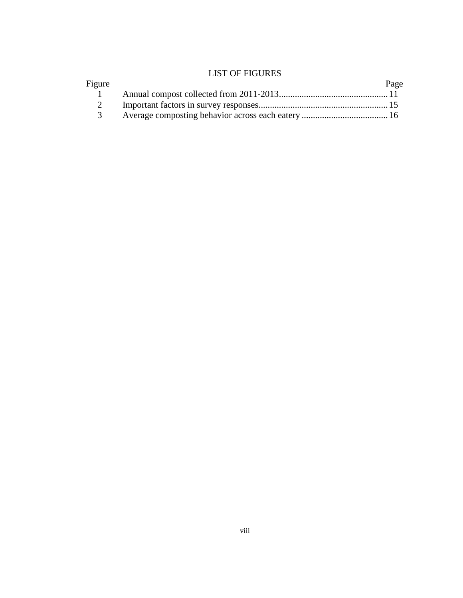# LIST OF FIGURES

| Figure         | Page |
|----------------|------|
|                |      |
| $\sim$ 2       |      |
| $\overline{3}$ |      |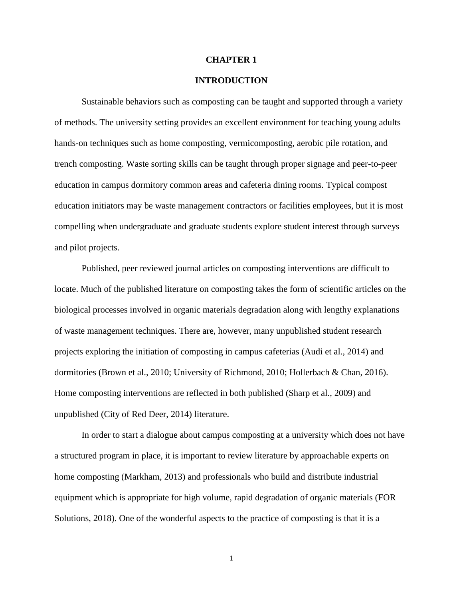#### **CHAPTER 1**

#### **INTRODUCTION**

Sustainable behaviors such as composting can be taught and supported through a variety of methods. The university setting provides an excellent environment for teaching young adults hands-on techniques such as home composting, vermicomposting, aerobic pile rotation, and trench composting. Waste sorting skills can be taught through proper signage and peer-to-peer education in campus dormitory common areas and cafeteria dining rooms. Typical compost education initiators may be waste management contractors or facilities employees, but it is most compelling when undergraduate and graduate students explore student interest through surveys and pilot projects.

Published, peer reviewed journal articles on composting interventions are difficult to locate. Much of the published literature on composting takes the form of scientific articles on the biological processes involved in organic materials degradation along with lengthy explanations of waste management techniques. There are, however, many unpublished student research projects exploring the initiation of composting in campus cafeterias (Audi et al., 2014) and dormitories (Brown et al., 2010; University of Richmond, 2010; Hollerbach & Chan, 2016). Home composting interventions are reflected in both published (Sharp et al., 2009) and unpublished (City of Red Deer, 2014) literature.

In order to start a dialogue about campus composting at a university which does not have a structured program in place, it is important to review literature by approachable experts on home composting (Markham, 2013) and professionals who build and distribute industrial equipment which is appropriate for high volume, rapid degradation of organic materials (FOR Solutions, 2018). One of the wonderful aspects to the practice of composting is that it is a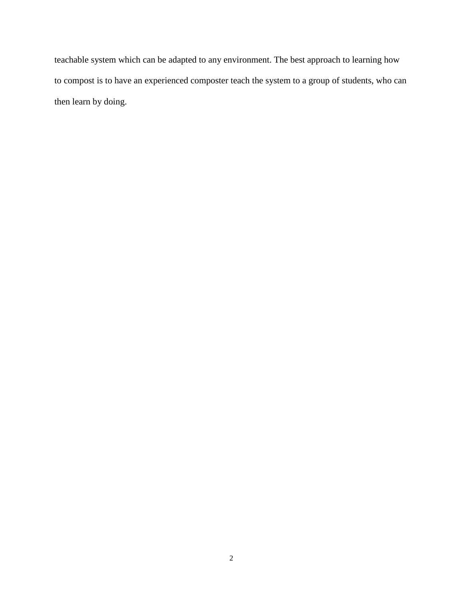teachable system which can be adapted to any environment. The best approach to learning how to compost is to have an experienced composter teach the system to a group of students, who can then learn by doing.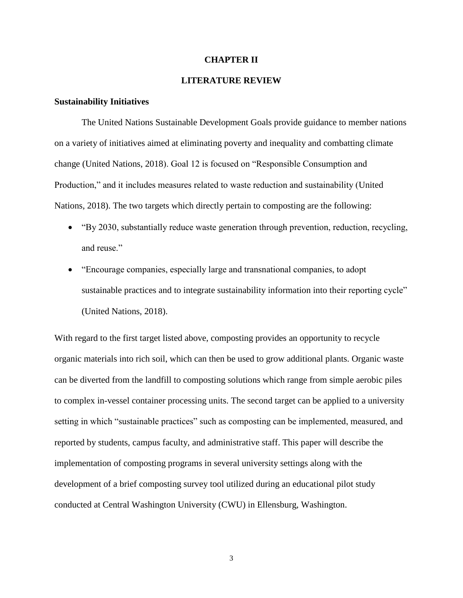#### **CHAPTER II**

### **LITERATURE REVIEW**

#### **Sustainability Initiatives**

The United Nations Sustainable Development Goals provide guidance to member nations on a variety of initiatives aimed at eliminating poverty and inequality and combatting climate change (United Nations, 2018). Goal 12 is focused on "Responsible Consumption and Production," and it includes measures related to waste reduction and sustainability (United Nations, 2018). The two targets which directly pertain to composting are the following:

- "By 2030, substantially reduce waste generation through prevention, reduction, recycling, and reuse."
- "Encourage companies, especially large and transnational companies, to adopt sustainable practices and to integrate sustainability information into their reporting cycle" (United Nations, 2018).

With regard to the first target listed above, composting provides an opportunity to recycle organic materials into rich soil, which can then be used to grow additional plants. Organic waste can be diverted from the landfill to composting solutions which range from simple aerobic piles to complex in-vessel container processing units. The second target can be applied to a university setting in which "sustainable practices" such as composting can be implemented, measured, and reported by students, campus faculty, and administrative staff. This paper will describe the implementation of composting programs in several university settings along with the development of a brief composting survey tool utilized during an educational pilot study conducted at Central Washington University (CWU) in Ellensburg, Washington.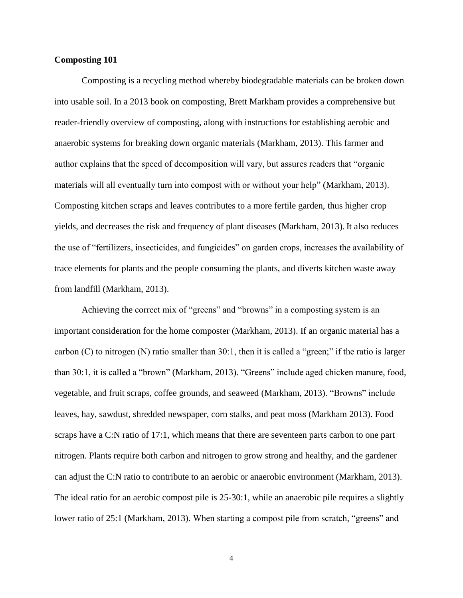#### **Composting 101**

Composting is a recycling method whereby biodegradable materials can be broken down into usable soil. In a 2013 book on composting, Brett Markham provides a comprehensive but reader-friendly overview of composting, along with instructions for establishing aerobic and anaerobic systems for breaking down organic materials (Markham, 2013). This farmer and author explains that the speed of decomposition will vary, but assures readers that "organic materials will all eventually turn into compost with or without your help" (Markham, 2013). Composting kitchen scraps and leaves contributes to a more fertile garden, thus higher crop yields, and decreases the risk and frequency of plant diseases (Markham, 2013). It also reduces the use of "fertilizers, insecticides, and fungicides" on garden crops, increases the availability of trace elements for plants and the people consuming the plants, and diverts kitchen waste away from landfill (Markham, 2013).

Achieving the correct mix of "greens" and "browns" in a composting system is an important consideration for the home composter (Markham, 2013). If an organic material has a carbon (C) to nitrogen (N) ratio smaller than 30:1, then it is called a "green;" if the ratio is larger than 30:1, it is called a "brown" (Markham, 2013). "Greens" include aged chicken manure, food, vegetable, and fruit scraps, coffee grounds, and seaweed (Markham, 2013). "Browns" include leaves, hay, sawdust, shredded newspaper, corn stalks, and peat moss (Markham 2013). Food scraps have a C:N ratio of 17:1, which means that there are seventeen parts carbon to one part nitrogen. Plants require both carbon and nitrogen to grow strong and healthy, and the gardener can adjust the C:N ratio to contribute to an aerobic or anaerobic environment (Markham, 2013). The ideal ratio for an aerobic compost pile is 25-30:1, while an anaerobic pile requires a slightly lower ratio of 25:1 (Markham, 2013). When starting a compost pile from scratch, "greens" and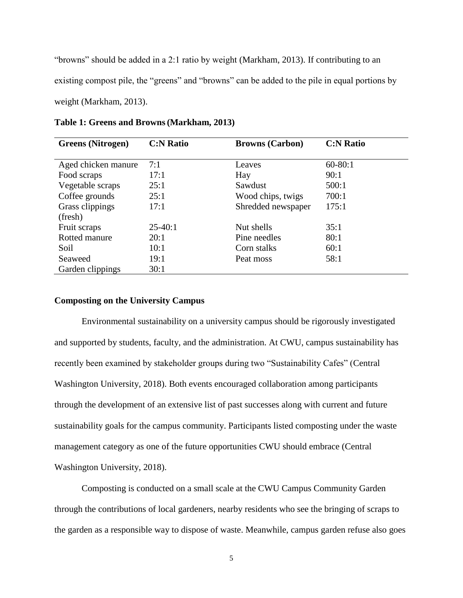"browns" should be added in a 2:1 ratio by weight (Markham, 2013). If contributing to an existing compost pile, the "greens" and "browns" can be added to the pile in equal portions by weight (Markham, 2013).

| <b>Greens</b> (Nitrogen) | <b>C:N Ratio</b> | <b>Browns (Carbon)</b> | <b>C:N Ratio</b> |
|--------------------------|------------------|------------------------|------------------|
|                          |                  |                        |                  |
| Aged chicken manure      | 7:1              | Leaves                 | $60 - 80:1$      |
| Food scraps              | 17:1             | Hay                    | 90:1             |
| Vegetable scraps         | 25:1             | Sawdust                | 500:1            |
| Coffee grounds           | 25:1             | Wood chips, twigs      | 700:1            |
| Grass clippings          | 17:1             | Shredded newspaper     | 175:1            |
| (fresh)                  |                  |                        |                  |
| Fruit scraps             | $25-40:1$        | Nut shells             | 35:1             |
| Rotted manure            | 20:1             | Pine needles           | 80:1             |
| Soil                     | 10:1             | Corn stalks            | 60:1             |
| Seaweed                  | 19:1             | Peat moss              | 58:1             |
| Garden clippings         | 30:1             |                        |                  |

**Table 1: Greens and Browns(Markham, 2013)**

#### **Composting on the University Campus**

Environmental sustainability on a university campus should be rigorously investigated and supported by students, faculty, and the administration. At CWU, campus sustainability has recently been examined by stakeholder groups during two "Sustainability Cafes" (Central Washington University, 2018). Both events encouraged collaboration among participants through the development of an extensive list of past successes along with current and future sustainability goals for the campus community. Participants listed composting under the waste management category as one of the future opportunities CWU should embrace (Central Washington University, 2018).

Composting is conducted on a small scale at the CWU Campus Community Garden through the contributions of local gardeners, nearby residents who see the bringing of scraps to the garden as a responsible way to dispose of waste. Meanwhile, campus garden refuse also goes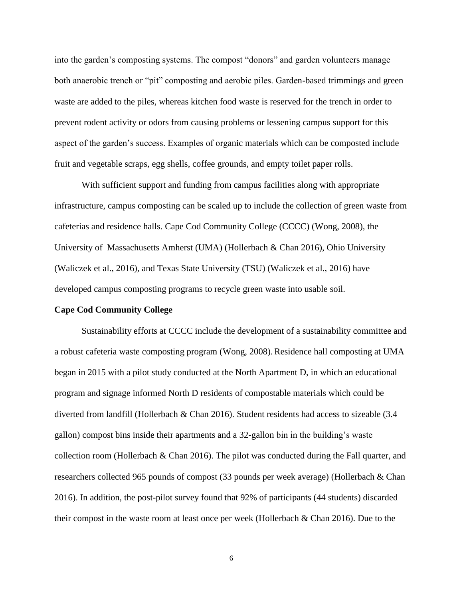into the garden's composting systems. The compost "donors" and garden volunteers manage both anaerobic trench or "pit" composting and aerobic piles. Garden-based trimmings and green waste are added to the piles, whereas kitchen food waste is reserved for the trench in order to prevent rodent activity or odors from causing problems or lessening campus support for this aspect of the garden's success. Examples of organic materials which can be composted include fruit and vegetable scraps, egg shells, coffee grounds, and empty toilet paper rolls.

With sufficient support and funding from campus facilities along with appropriate infrastructure, campus composting can be scaled up to include the collection of green waste from cafeterias and residence halls. Cape Cod Community College (CCCC) (Wong, 2008), the University of Massachusetts Amherst (UMA) (Hollerbach & Chan 2016), Ohio University (Waliczek et al., 2016), and Texas State University (TSU) (Waliczek et al., 2016) have developed campus composting programs to recycle green waste into usable soil.

#### **Cape Cod Community College**

Sustainability efforts at CCCC include the development of a sustainability committee and a robust cafeteria waste composting program (Wong, 2008). Residence hall composting at UMA began in 2015 with a pilot study conducted at the North Apartment D, in which an educational program and signage informed North D residents of compostable materials which could be diverted from landfill (Hollerbach & Chan 2016). Student residents had access to sizeable (3.4 gallon) compost bins inside their apartments and a 32-gallon bin in the building's waste collection room (Hollerbach & Chan 2016). The pilot was conducted during the Fall quarter, and researchers collected 965 pounds of compost (33 pounds per week average) (Hollerbach & Chan 2016). In addition, the post-pilot survey found that 92% of participants (44 students) discarded their compost in the waste room at least once per week (Hollerbach & Chan 2016). Due to the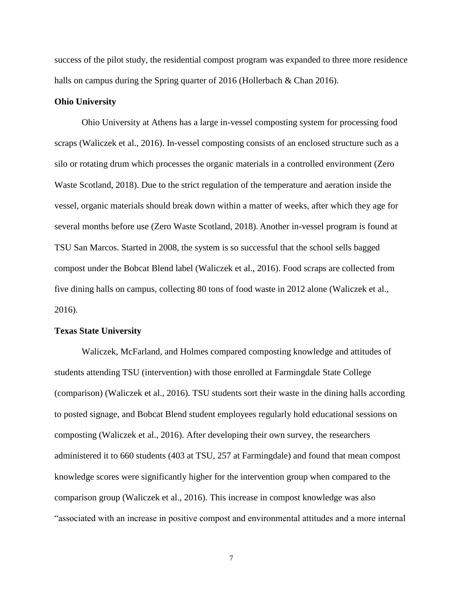success of the pilot study, the residential compost program was expanded to three more residence halls on campus during the Spring quarter of 2016 (Hollerbach & Chan 2016).

#### **Ohio University**

Ohio University at Athens has a large in-vessel composting system for processing food scraps (Waliczek et al., 2016). In-vessel composting consists of an enclosed structure such as a silo or rotating drum which processes the organic materials in a controlled environment (Zero Waste Scotland, 2018). Due to the strict regulation of the temperature and aeration inside the vessel, organic materials should break down within a matter of weeks, after which they age for several months before use (Zero Waste Scotland, 2018). Another in-vessel program is found at TSU San Marcos. Started in 2008, the system is so successful that the school sells bagged compost under the Bobcat Blend label (Waliczek et al., 2016). Food scraps are collected from five dining halls on campus, collecting 80 tons of food waste in 2012 alone (Waliczek et al., 2016).

#### **Texas State University**

Waliczek, McFarland, and Holmes compared composting knowledge and attitudes of students attending TSU (intervention) with those enrolled at Farmingdale State College (comparison) (Waliczek et al., 2016). TSU students sort their waste in the dining halls according to posted signage, and Bobcat Blend student employees regularly hold educational sessions on composting (Waliczek et al., 2016). After developing their own survey, the researchers administered it to 660 students (403 at TSU, 257 at Farmingdale) and found that mean compost knowledge scores were significantly higher for the intervention group when compared to the comparison group (Waliczek et al., 2016). This increase in compost knowledge was also "associated with an increase in positive compost and environmental attitudes and a more internal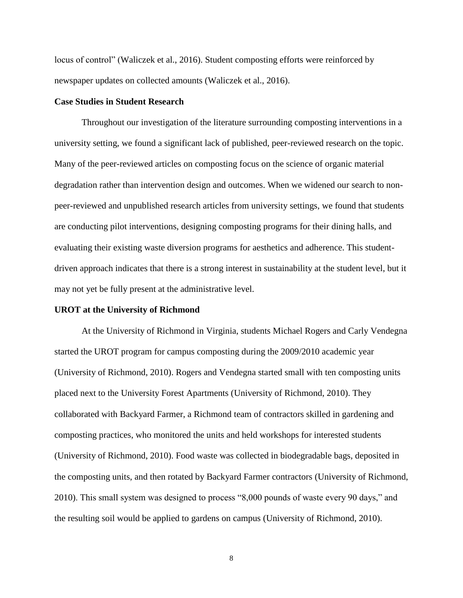locus of control" (Waliczek et al., 2016). Student composting efforts were reinforced by newspaper updates on collected amounts (Waliczek et al., 2016).

#### **Case Studies in Student Research**

Throughout our investigation of the literature surrounding composting interventions in a university setting, we found a significant lack of published, peer-reviewed research on the topic. Many of the peer-reviewed articles on composting focus on the science of organic material degradation rather than intervention design and outcomes. When we widened our search to nonpeer-reviewed and unpublished research articles from university settings, we found that students are conducting pilot interventions, designing composting programs for their dining halls, and evaluating their existing waste diversion programs for aesthetics and adherence. This studentdriven approach indicates that there is a strong interest in sustainability at the student level, but it may not yet be fully present at the administrative level.

#### **UROT at the University of Richmond**

At the University of Richmond in Virginia, students Michael Rogers and Carly Vendegna started the UROT program for campus composting during the 2009/2010 academic year (University of Richmond, 2010). Rogers and Vendegna started small with ten composting units placed next to the University Forest Apartments (University of Richmond, 2010). They collaborated with Backyard Farmer, a Richmond team of contractors skilled in gardening and composting practices, who monitored the units and held workshops for interested students (University of Richmond, 2010). Food waste was collected in biodegradable bags, deposited in the composting units, and then rotated by Backyard Farmer contractors (University of Richmond, 2010). This small system was designed to process "8,000 pounds of waste every 90 days," and the resulting soil would be applied to gardens on campus (University of Richmond, 2010).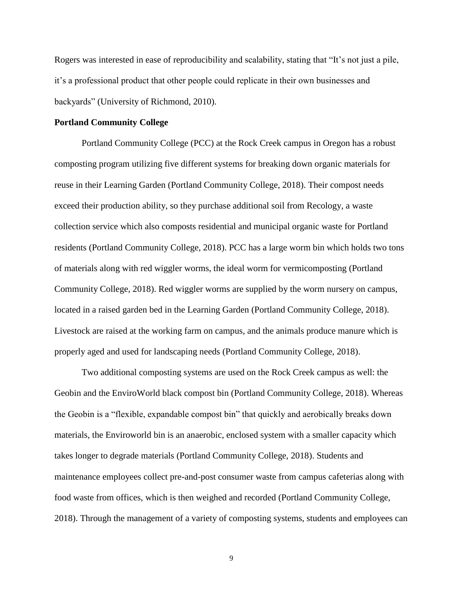Rogers was interested in ease of reproducibility and scalability, stating that "It's not just a pile, it's a professional product that other people could replicate in their own businesses and backyards" (University of Richmond, 2010).

#### **Portland Community College**

Portland Community College (PCC) at the Rock Creek campus in Oregon has a robust composting program utilizing five different systems for breaking down organic materials for reuse in their Learning Garden (Portland Community College, 2018). Their compost needs exceed their production ability, so they purchase additional soil from Recology, a waste collection service which also composts residential and municipal organic waste for Portland residents (Portland Community College, 2018). PCC has a large worm bin which holds two tons of materials along with red wiggler worms, the ideal worm for vermicomposting (Portland Community College, 2018). Red wiggler worms are supplied by the worm nursery on campus, located in a raised garden bed in the Learning Garden (Portland Community College, 2018). Livestock are raised at the working farm on campus, and the animals produce manure which is properly aged and used for landscaping needs (Portland Community College, 2018).

Two additional composting systems are used on the Rock Creek campus as well: the Geobin and the EnviroWorld black compost bin (Portland Community College, 2018). Whereas the Geobin is a "flexible, expandable compost bin" that quickly and aerobically breaks down materials, the Enviroworld bin is an anaerobic, enclosed system with a smaller capacity which takes longer to degrade materials (Portland Community College, 2018). Students and maintenance employees collect pre-and-post consumer waste from campus cafeterias along with food waste from offices, which is then weighed and recorded (Portland Community College, 2018). Through the management of a variety of composting systems, students and employees can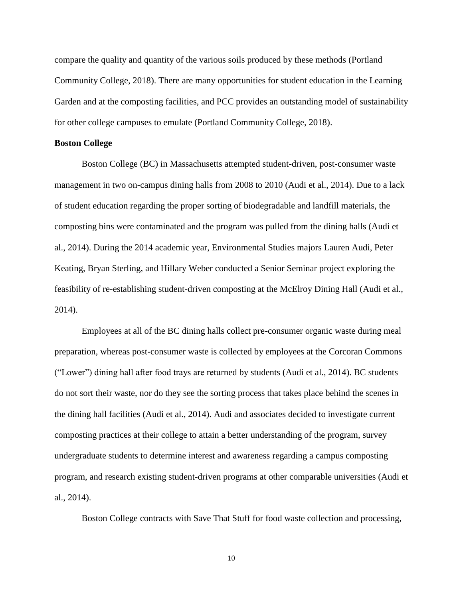compare the quality and quantity of the various soils produced by these methods (Portland Community College, 2018). There are many opportunities for student education in the Learning Garden and at the composting facilities, and PCC provides an outstanding model of sustainability for other college campuses to emulate (Portland Community College, 2018).

#### **Boston College**

Boston College (BC) in Massachusetts attempted student-driven, post-consumer waste management in two on-campus dining halls from 2008 to 2010 (Audi et al., 2014). Due to a lack of student education regarding the proper sorting of biodegradable and landfill materials, the composting bins were contaminated and the program was pulled from the dining halls (Audi et al., 2014). During the 2014 academic year, Environmental Studies majors Lauren Audi, Peter Keating, Bryan Sterling, and Hillary Weber conducted a Senior Seminar project exploring the feasibility of re-establishing student-driven composting at the McElroy Dining Hall (Audi et al., 2014).

Employees at all of the BC dining halls collect pre-consumer organic waste during meal preparation, whereas post-consumer waste is collected by employees at the Corcoran Commons ("Lower") dining hall after food trays are returned by students (Audi et al., 2014). BC students do not sort their waste, nor do they see the sorting process that takes place behind the scenes in the dining hall facilities (Audi et al., 2014). Audi and associates decided to investigate current composting practices at their college to attain a better understanding of the program, survey undergraduate students to determine interest and awareness regarding a campus composting program, and research existing student-driven programs at other comparable universities (Audi et al., 2014).

Boston College contracts with Save That Stuff for food waste collection and processing,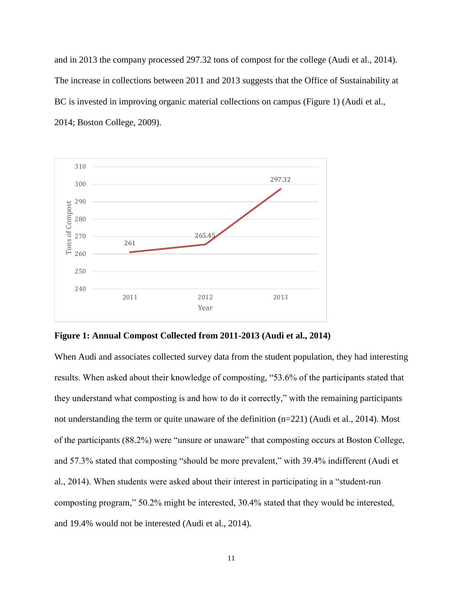and in 2013 the company processed 297.32 tons of compost for the college (Audi et al., 2014). The increase in collections between 2011 and 2013 suggests that the Office of Sustainability at BC is invested in improving organic material collections on campus (Figure 1) (Audi et al., 2014; Boston College, 2009).





When Audi and associates collected survey data from the student population, they had interesting results. When asked about their knowledge of composting, "53.6% of the participants stated that they understand what composting is and how to do it correctly," with the remaining participants not understanding the term or quite unaware of the definition (n=221) (Audi et al., 2014). Most of the participants (88.2%) were "unsure or unaware" that composting occurs at Boston College, and 57.3% stated that composting "should be more prevalent," with 39.4% indifferent (Audi et al., 2014). When students were asked about their interest in participating in a "student-run composting program," 50.2% might be interested, 30.4% stated that they would be interested, and 19.4% would not be interested (Audi et al., 2014).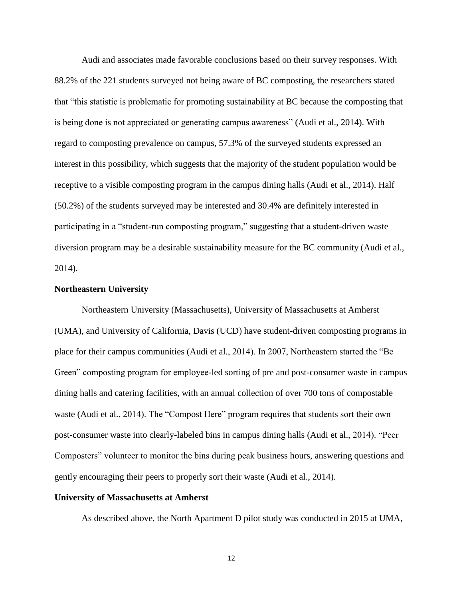Audi and associates made favorable conclusions based on their survey responses. With 88.2% of the 221 students surveyed not being aware of BC composting, the researchers stated that "this statistic is problematic for promoting sustainability at BC because the composting that is being done is not appreciated or generating campus awareness" (Audi et al., 2014). With regard to composting prevalence on campus, 57.3% of the surveyed students expressed an interest in this possibility, which suggests that the majority of the student population would be receptive to a visible composting program in the campus dining halls (Audi et al., 2014). Half (50.2%) of the students surveyed may be interested and 30.4% are definitely interested in participating in a "student-run composting program," suggesting that a student-driven waste diversion program may be a desirable sustainability measure for the BC community (Audi et al., 2014).

#### **Northeastern University**

Northeastern University (Massachusetts), University of Massachusetts at Amherst (UMA), and University of California, Davis (UCD) have student-driven composting programs in place for their campus communities (Audi et al., 2014). In 2007, Northeastern started the "Be Green" composting program for employee-led sorting of pre and post-consumer waste in campus dining halls and catering facilities, with an annual collection of over 700 tons of compostable waste (Audi et al., 2014). The "Compost Here" program requires that students sort their own post-consumer waste into clearly-labeled bins in campus dining halls (Audi et al., 2014). "Peer Composters" volunteer to monitor the bins during peak business hours, answering questions and gently encouraging their peers to properly sort their waste (Audi et al., 2014).

#### **University of Massachusetts at Amherst**

As described above, the North Apartment D pilot study was conducted in 2015 at UMA,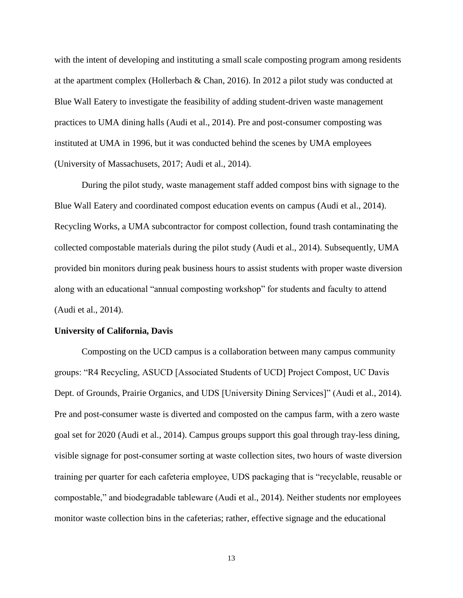with the intent of developing and instituting a small scale composting program among residents at the apartment complex (Hollerbach & Chan, 2016). In 2012 a pilot study was conducted at Blue Wall Eatery to investigate the feasibility of adding student-driven waste management practices to UMA dining halls (Audi et al., 2014). Pre and post-consumer composting was instituted at UMA in 1996, but it was conducted behind the scenes by UMA employees (University of Massachusets, 2017; Audi et al., 2014).

During the pilot study, waste management staff added compost bins with signage to the Blue Wall Eatery and coordinated compost education events on campus (Audi et al., 2014). Recycling Works, a UMA subcontractor for compost collection, found trash contaminating the collected compostable materials during the pilot study (Audi et al., 2014). Subsequently, UMA provided bin monitors during peak business hours to assist students with proper waste diversion along with an educational "annual composting workshop" for students and faculty to attend (Audi et al., 2014).

#### **University of California, Davis**

Composting on the UCD campus is a collaboration between many campus community groups: "R4 Recycling, ASUCD [Associated Students of UCD] Project Compost, UC Davis Dept. of Grounds, Prairie Organics, and UDS [University Dining Services]" (Audi et al., 2014). Pre and post-consumer waste is diverted and composted on the campus farm, with a zero waste goal set for 2020 (Audi et al., 2014). Campus groups support this goal through tray-less dining, visible signage for post-consumer sorting at waste collection sites, two hours of waste diversion training per quarter for each cafeteria employee, UDS packaging that is "recyclable, reusable or compostable," and biodegradable tableware (Audi et al., 2014). Neither students nor employees monitor waste collection bins in the cafeterias; rather, effective signage and the educational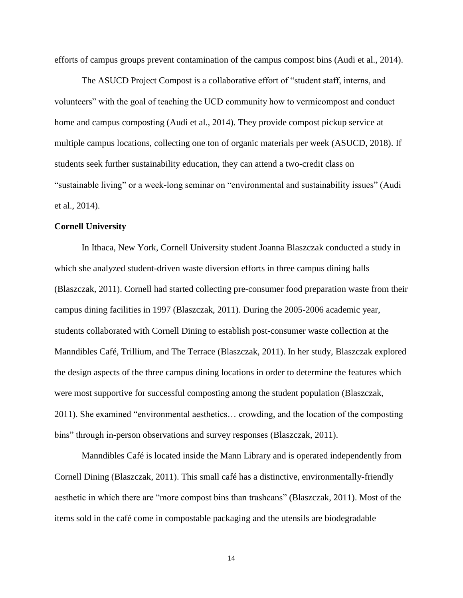efforts of campus groups prevent contamination of the campus compost bins (Audi et al., 2014).

The ASUCD Project Compost is a collaborative effort of "student staff, interns, and volunteers" with the goal of teaching the UCD community how to vermicompost and conduct home and campus composting (Audi et al., 2014). They provide compost pickup service at multiple campus locations, collecting one ton of organic materials per week (ASUCD, 2018). If students seek further sustainability education, they can attend a two-credit class on "sustainable living" or a week-long seminar on "environmental and sustainability issues" (Audi et al., 2014).

#### **Cornell University**

In Ithaca, New York, Cornell University student Joanna Blaszczak conducted a study in which she analyzed student-driven waste diversion efforts in three campus dining halls (Blaszczak, 2011). Cornell had started collecting pre-consumer food preparation waste from their campus dining facilities in 1997 (Blaszczak, 2011). During the 2005-2006 academic year, students collaborated with Cornell Dining to establish post-consumer waste collection at the Manndibles Café, Trillium, and The Terrace (Blaszczak, 2011). In her study, Blaszczak explored the design aspects of the three campus dining locations in order to determine the features which were most supportive for successful composting among the student population (Blaszczak, 2011). She examined "environmental aesthetics… crowding, and the location of the composting bins" through in-person observations and survey responses (Blaszczak, 2011).

Manndibles Café is located inside the Mann Library and is operated independently from Cornell Dining (Blaszczak, 2011). This small café has a distinctive, environmentally-friendly aesthetic in which there are "more compost bins than trashcans" (Blaszczak, 2011). Most of the items sold in the café come in compostable packaging and the utensils are biodegradable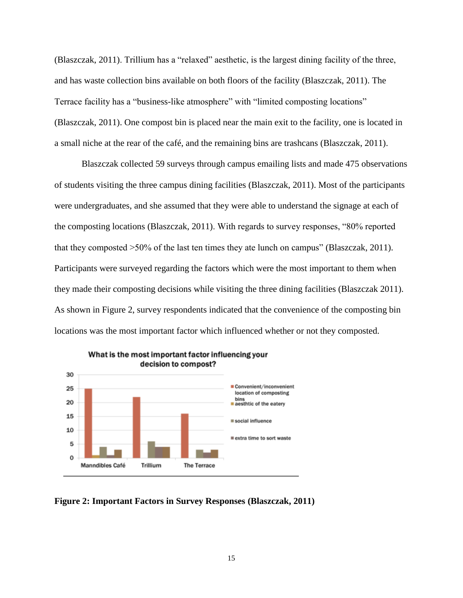(Blaszczak, 2011). Trillium has a "relaxed" aesthetic, is the largest dining facility of the three, and has waste collection bins available on both floors of the facility (Blaszczak, 2011). The Terrace facility has a "business-like atmosphere" with "limited composting locations" (Blaszczak, 2011). One compost bin is placed near the main exit to the facility, one is located in a small niche at the rear of the café, and the remaining bins are trashcans (Blaszczak, 2011).

Blaszczak collected 59 surveys through campus emailing lists and made 475 observations of students visiting the three campus dining facilities (Blaszczak, 2011). Most of the participants were undergraduates, and she assumed that they were able to understand the signage at each of the composting locations (Blaszczak, 2011). With regards to survey responses, "80% reported that they composted >50% of the last ten times they ate lunch on campus" (Blaszczak, 2011). Participants were surveyed regarding the factors which were the most important to them when they made their composting decisions while visiting the three dining facilities (Blaszczak 2011). As shown in Figure 2, survey respondents indicated that the convenience of the composting bin locations was the most important factor which influenced whether or not they composted.



#### **Figure 2: Important Factors in Survey Responses (Blaszczak, 2011)**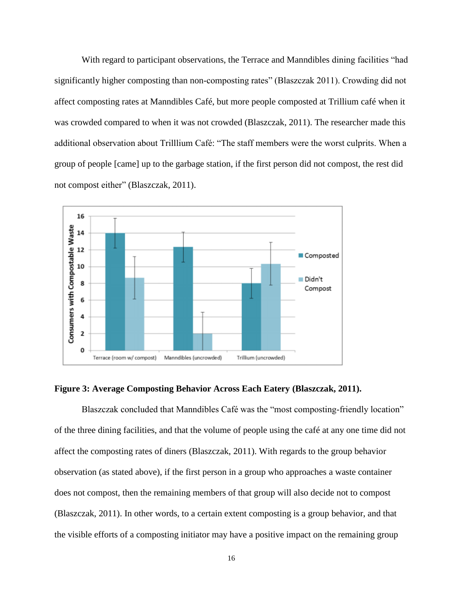With regard to participant observations, the Terrace and Manndibles dining facilities "had significantly higher composting than non-composting rates" (Blaszczak 2011). Crowding did not affect composting rates at Manndibles Café, but more people composted at Trillium café when it was crowded compared to when it was not crowded (Blaszczak, 2011). The researcher made this additional observation about Trilllium Café: "The staff members were the worst culprits. When a group of people [came] up to the garbage station, if the first person did not compost, the rest did not compost either" (Blaszczak, 2011).



**Figure 3: Average Composting Behavior Across Each Eatery (Blaszczak, 2011).**

Blaszczak concluded that Manndibles Café was the "most composting-friendly location" of the three dining facilities, and that the volume of people using the café at any one time did not affect the composting rates of diners (Blaszczak, 2011). With regards to the group behavior observation (as stated above), if the first person in a group who approaches a waste container does not compost, then the remaining members of that group will also decide not to compost (Blaszczak, 2011). In other words, to a certain extent composting is a group behavior, and that the visible efforts of a composting initiator may have a positive impact on the remaining group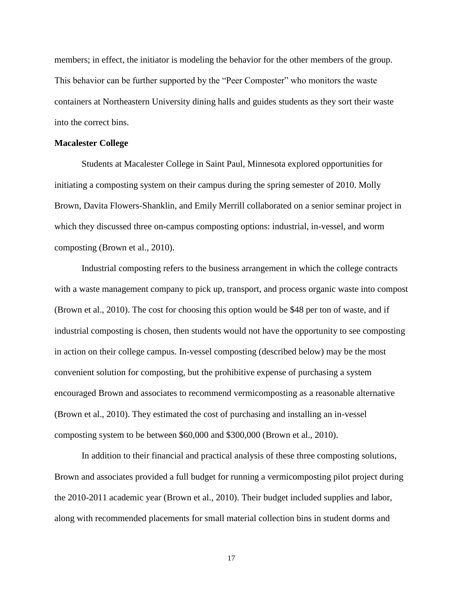members; in effect, the initiator is modeling the behavior for the other members of the group. This behavior can be further supported by the "Peer Composter" who monitors the waste containers at Northeastern University dining halls and guides students as they sort their waste into the correct bins.

#### **Macalester College**

Students at Macalester College in Saint Paul, Minnesota explored opportunities for initiating a composting system on their campus during the spring semester of 2010. Molly Brown, Davita Flowers-Shanklin, and Emily Merrill collaborated on a senior seminar project in which they discussed three on-campus composting options: industrial, in-vessel, and worm composting (Brown et al., 2010).

Industrial composting refers to the business arrangement in which the college contracts with a waste management company to pick up, transport, and process organic waste into compost (Brown et al., 2010). The cost for choosing this option would be \$48 per ton of waste, and if industrial composting is chosen, then students would not have the opportunity to see composting in action on their college campus. In-vessel composting (described below) may be the most convenient solution for composting, but the prohibitive expense of purchasing a system encouraged Brown and associates to recommend vermicomposting as a reasonable alternative (Brown et al., 2010). They estimated the cost of purchasing and installing an in-vessel composting system to be between \$60,000 and \$300,000 (Brown et al., 2010).

In addition to their financial and practical analysis of these three composting solutions, Brown and associates provided a full budget for running a vermicomposting pilot project during the 2010-2011 academic year (Brown et al., 2010). Their budget included supplies and labor, along with recommended placements for small material collection bins in student dorms and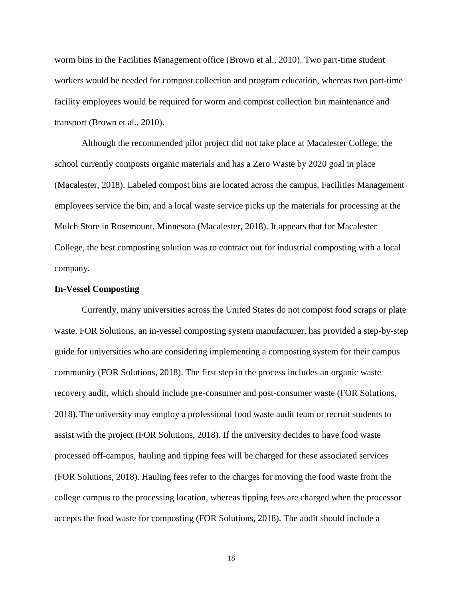worm bins in the Facilities Management office (Brown et al., 2010). Two part-time student workers would be needed for compost collection and program education, whereas two part-time facility employees would be required for worm and compost collection bin maintenance and transport (Brown et al., 2010).

Although the recommended pilot project did not take place at Macalester College, the school currently composts organic materials and has a Zero Waste by 2020 goal in place (Macalester, 2018). Labeled compost bins are located across the campus, Facilities Management employees service the bin, and a local waste service picks up the materials for processing at the Mulch Store in Rosemount, Minnesota (Macalester, 2018). It appears that for Macalester College, the best composting solution was to contract out for industrial composting with a local company.

#### **In-Vessel Composting**

Currently, many universities across the United States do not compost food scraps or plate waste. FOR Solutions, an in-vessel composting system manufacturer, has provided a step-by-step guide for universities who are considering implementing a composting system for their campus community (FOR Solutions, 2018). The first step in the process includes an organic waste recovery audit, which should include pre-consumer and post-consumer waste (FOR Solutions, 2018). The university may employ a professional food waste audit team or recruit students to assist with the project (FOR Solutions, 2018). If the university decides to have food waste processed off-campus, hauling and tipping fees will be charged for these associated services (FOR Solutions, 2018). Hauling fees refer to the charges for moving the food waste from the college campus to the processing location, whereas tipping fees are charged when the processor accepts the food waste for composting (FOR Solutions, 2018). The audit should include a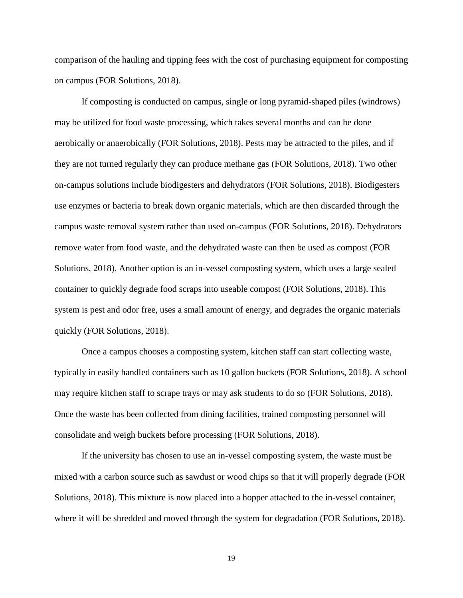comparison of the hauling and tipping fees with the cost of purchasing equipment for composting on campus (FOR Solutions, 2018).

If composting is conducted on campus, single or long pyramid-shaped piles (windrows) may be utilized for food waste processing, which takes several months and can be done aerobically or anaerobically (FOR Solutions, 2018). Pests may be attracted to the piles, and if they are not turned regularly they can produce methane gas (FOR Solutions, 2018). Two other on-campus solutions include biodigesters and dehydrators (FOR Solutions, 2018). Biodigesters use enzymes or bacteria to break down organic materials, which are then discarded through the campus waste removal system rather than used on-campus (FOR Solutions, 2018). Dehydrators remove water from food waste, and the dehydrated waste can then be used as compost (FOR Solutions, 2018). Another option is an in-vessel composting system, which uses a large sealed container to quickly degrade food scraps into useable compost (FOR Solutions, 2018). This system is pest and odor free, uses a small amount of energy, and degrades the organic materials quickly (FOR Solutions, 2018).

Once a campus chooses a composting system, kitchen staff can start collecting waste, typically in easily handled containers such as 10 gallon buckets (FOR Solutions, 2018). A school may require kitchen staff to scrape trays or may ask students to do so (FOR Solutions, 2018). Once the waste has been collected from dining facilities, trained composting personnel will consolidate and weigh buckets before processing (FOR Solutions, 2018).

If the university has chosen to use an in-vessel composting system, the waste must be mixed with a carbon source such as sawdust or wood chips so that it will properly degrade (FOR Solutions, 2018). This mixture is now placed into a hopper attached to the in-vessel container, where it will be shredded and moved through the system for degradation (FOR Solutions, 2018).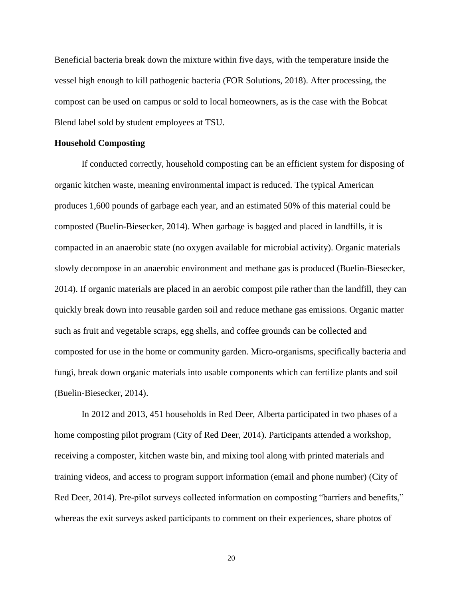Beneficial bacteria break down the mixture within five days, with the temperature inside the vessel high enough to kill pathogenic bacteria (FOR Solutions, 2018). After processing, the compost can be used on campus or sold to local homeowners, as is the case with the Bobcat Blend label sold by student employees at TSU.

#### **Household Composting**

If conducted correctly, household composting can be an efficient system for disposing of organic kitchen waste, meaning environmental impact is reduced. The typical American produces 1,600 pounds of garbage each year, and an estimated 50% of this material could be composted (Buelin-Biesecker, 2014). When garbage is bagged and placed in landfills, it is compacted in an anaerobic state (no oxygen available for microbial activity). Organic materials slowly decompose in an anaerobic environment and methane gas is produced (Buelin-Biesecker, 2014). If organic materials are placed in an aerobic compost pile rather than the landfill, they can quickly break down into reusable garden soil and reduce methane gas emissions. Organic matter such as fruit and vegetable scraps, egg shells, and coffee grounds can be collected and composted for use in the home or community garden. Micro-organisms, specifically bacteria and fungi, break down organic materials into usable components which can fertilize plants and soil (Buelin-Biesecker, 2014).

In 2012 and 2013, 451 households in Red Deer, Alberta participated in two phases of a home composting pilot program (City of Red Deer, 2014). Participants attended a workshop, receiving a composter, kitchen waste bin, and mixing tool along with printed materials and training videos, and access to program support information (email and phone number) (City of Red Deer, 2014). Pre-pilot surveys collected information on composting "barriers and benefits," whereas the exit surveys asked participants to comment on their experiences, share photos of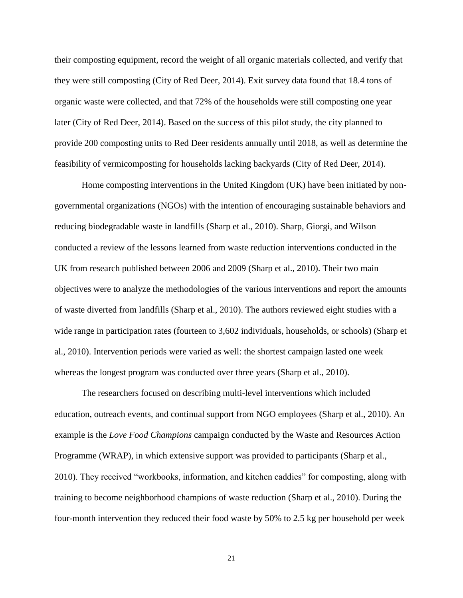their composting equipment, record the weight of all organic materials collected, and verify that they were still composting (City of Red Deer, 2014). Exit survey data found that 18.4 tons of organic waste were collected, and that 72% of the households were still composting one year later (City of Red Deer, 2014). Based on the success of this pilot study, the city planned to provide 200 composting units to Red Deer residents annually until 2018, as well as determine the feasibility of vermicomposting for households lacking backyards (City of Red Deer, 2014).

Home composting interventions in the United Kingdom (UK) have been initiated by nongovernmental organizations (NGOs) with the intention of encouraging sustainable behaviors and reducing biodegradable waste in landfills (Sharp et al., 2010). Sharp, Giorgi, and Wilson conducted a review of the lessons learned from waste reduction interventions conducted in the UK from research published between 2006 and 2009 (Sharp et al., 2010). Their two main objectives were to analyze the methodologies of the various interventions and report the amounts of waste diverted from landfills (Sharp et al., 2010). The authors reviewed eight studies with a wide range in participation rates (fourteen to 3,602 individuals, households, or schools) (Sharp et al., 2010). Intervention periods were varied as well: the shortest campaign lasted one week whereas the longest program was conducted over three years (Sharp et al., 2010).

The researchers focused on describing multi-level interventions which included education, outreach events, and continual support from NGO employees (Sharp et al., 2010). An example is the *Love Food Champions* campaign conducted by the Waste and Resources Action Programme (WRAP), in which extensive support was provided to participants (Sharp et al., 2010). They received "workbooks, information, and kitchen caddies" for composting, along with training to become neighborhood champions of waste reduction (Sharp et al., 2010). During the four-month intervention they reduced their food waste by 50% to 2.5 kg per household per week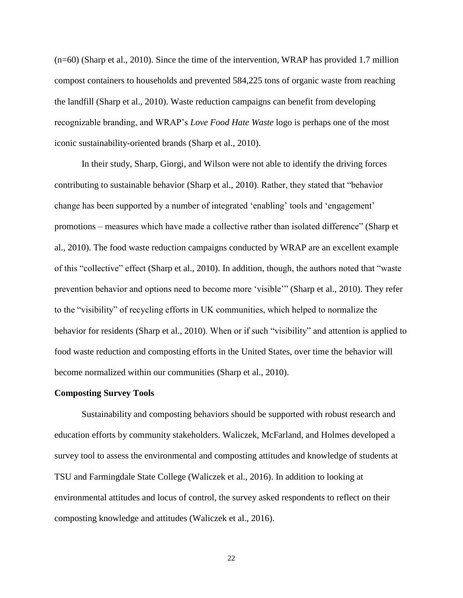(n=60) (Sharp et al., 2010). Since the time of the intervention, WRAP has provided 1.7 million compost containers to households and prevented 584,225 tons of organic waste from reaching the landfill (Sharp et al., 2010). Waste reduction campaigns can benefit from developing recognizable branding, and WRAP's *Love Food Hate Waste* logo is perhaps one of the most iconic sustainability-oriented brands (Sharp et al., 2010).

In their study, Sharp, Giorgi, and Wilson were not able to identify the driving forces contributing to sustainable behavior (Sharp et al., 2010). Rather, they stated that "behavior change has been supported by a number of integrated 'enabling' tools and 'engagement' promotions – measures which have made a collective rather than isolated difference" (Sharp et al., 2010). The food waste reduction campaigns conducted by WRAP are an excellent example of this "collective" effect (Sharp et al., 2010). In addition, though, the authors noted that "waste prevention behavior and options need to become more 'visible'" (Sharp et al., 2010). They refer to the "visibility" of recycling efforts in UK communities, which helped to normalize the behavior for residents (Sharp et al., 2010). When or if such "visibility" and attention is applied to food waste reduction and composting efforts in the United States, over time the behavior will become normalized within our communities (Sharp et al., 2010).

#### **Composting Survey Tools**

Sustainability and composting behaviors should be supported with robust research and education efforts by community stakeholders. Waliczek, McFarland, and Holmes developed a survey tool to assess the environmental and composting attitudes and knowledge of students at TSU and Farmingdale State College (Waliczek et al., 2016). In addition to looking at environmental attitudes and locus of control, the survey asked respondents to reflect on their composting knowledge and attitudes (Waliczek et al., 2016).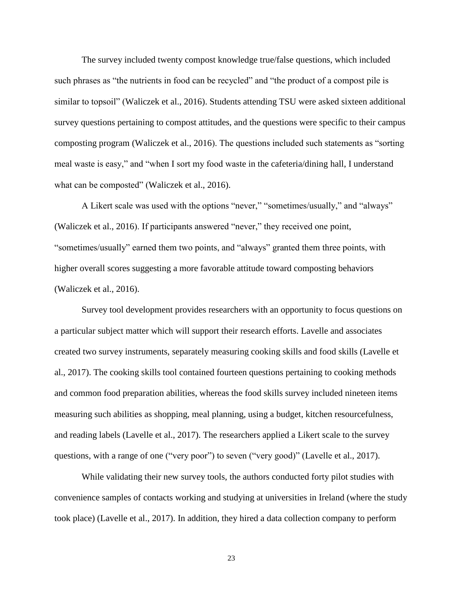The survey included twenty compost knowledge true/false questions, which included such phrases as "the nutrients in food can be recycled" and "the product of a compost pile is similar to topsoil" (Waliczek et al., 2016). Students attending TSU were asked sixteen additional survey questions pertaining to compost attitudes, and the questions were specific to their campus composting program (Waliczek et al., 2016). The questions included such statements as "sorting meal waste is easy," and "when I sort my food waste in the cafeteria/dining hall, I understand what can be composted" (Waliczek et al., 2016).

A Likert scale was used with the options "never," "sometimes/usually," and "always" (Waliczek et al., 2016). If participants answered "never," they received one point, "sometimes/usually" earned them two points, and "always" granted them three points, with higher overall scores suggesting a more favorable attitude toward composting behaviors (Waliczek et al., 2016).

Survey tool development provides researchers with an opportunity to focus questions on a particular subject matter which will support their research efforts. Lavelle and associates created two survey instruments, separately measuring cooking skills and food skills (Lavelle et al., 2017). The cooking skills tool contained fourteen questions pertaining to cooking methods and common food preparation abilities, whereas the food skills survey included nineteen items measuring such abilities as shopping, meal planning, using a budget, kitchen resourcefulness, and reading labels (Lavelle et al., 2017). The researchers applied a Likert scale to the survey questions, with a range of one ("very poor") to seven ("very good)" (Lavelle et al., 2017).

While validating their new survey tools, the authors conducted forty pilot studies with convenience samples of contacts working and studying at universities in Ireland (where the study took place) (Lavelle et al., 2017). In addition, they hired a data collection company to perform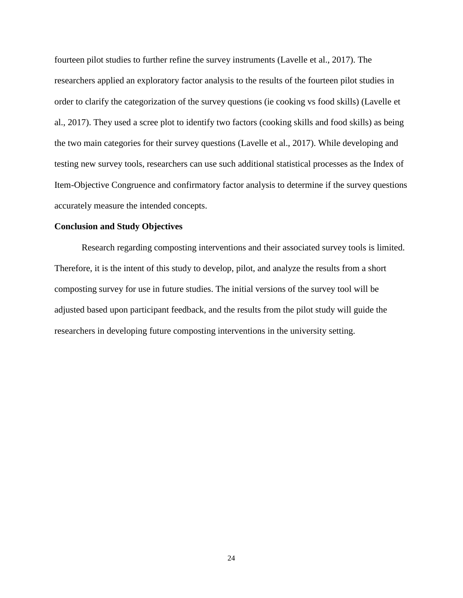fourteen pilot studies to further refine the survey instruments (Lavelle et al., 2017). The researchers applied an exploratory factor analysis to the results of the fourteen pilot studies in order to clarify the categorization of the survey questions (ie cooking vs food skills) (Lavelle et al., 2017). They used a scree plot to identify two factors (cooking skills and food skills) as being the two main categories for their survey questions (Lavelle et al., 2017). While developing and testing new survey tools, researchers can use such additional statistical processes as the Index of Item-Objective Congruence and confirmatory factor analysis to determine if the survey questions accurately measure the intended concepts.

#### **Conclusion and Study Objectives**

Research regarding composting interventions and their associated survey tools is limited. Therefore, it is the intent of this study to develop, pilot, and analyze the results from a short composting survey for use in future studies. The initial versions of the survey tool will be adjusted based upon participant feedback, and the results from the pilot study will guide the researchers in developing future composting interventions in the university setting.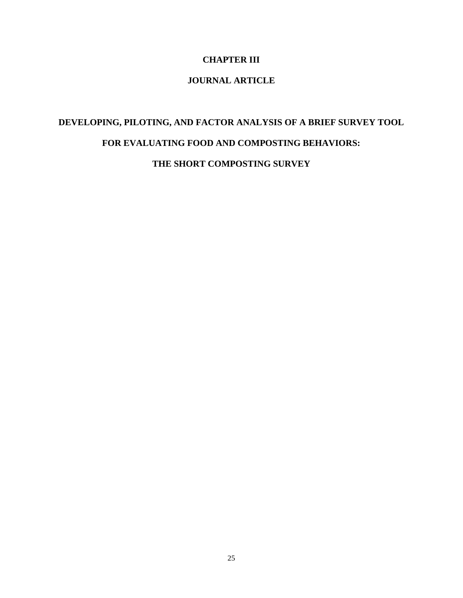## **CHAPTER III**

# **JOURNAL ARTICLE**

# **DEVELOPING, PILOTING, AND FACTOR ANALYSIS OF A BRIEF SURVEY TOOL FOR EVALUATING FOOD AND COMPOSTING BEHAVIORS:**

**THE SHORT COMPOSTING SURVEY**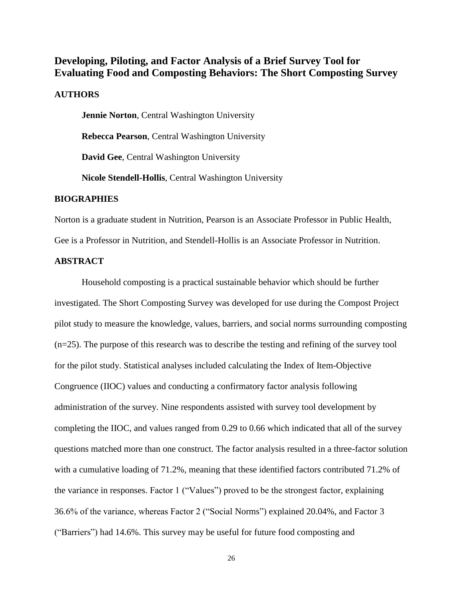# **Developing, Piloting, and Factor Analysis of a Brief Survey Tool for Evaluating Food and Composting Behaviors: The Short Composting Survey**

#### **AUTHORS**

**Jennie Norton**, Central Washington University

**Rebecca Pearson**, Central Washington University

**David Gee**, Central Washington University

**Nicole Stendell-Hollis**, Central Washington University

#### **BIOGRAPHIES**

Norton is a graduate student in Nutrition, Pearson is an Associate Professor in Public Health, Gee is a Professor in Nutrition, and Stendell-Hollis is an Associate Professor in Nutrition.

#### **ABSTRACT**

Household composting is a practical sustainable behavior which should be further investigated. The Short Composting Survey was developed for use during the Compost Project pilot study to measure the knowledge, values, barriers, and social norms surrounding composting (n=25). The purpose of this research was to describe the testing and refining of the survey tool for the pilot study. Statistical analyses included calculating the Index of Item-Objective Congruence (IIOC) values and conducting a confirmatory factor analysis following administration of the survey. Nine respondents assisted with survey tool development by completing the IIOC, and values ranged from 0.29 to 0.66 which indicated that all of the survey questions matched more than one construct. The factor analysis resulted in a three-factor solution with a cumulative loading of 71.2%, meaning that these identified factors contributed 71.2% of the variance in responses. Factor 1 ("Values") proved to be the strongest factor, explaining 36.6% of the variance, whereas Factor 2 ("Social Norms") explained 20.04%, and Factor 3 ("Barriers") had 14.6%. This survey may be useful for future food composting and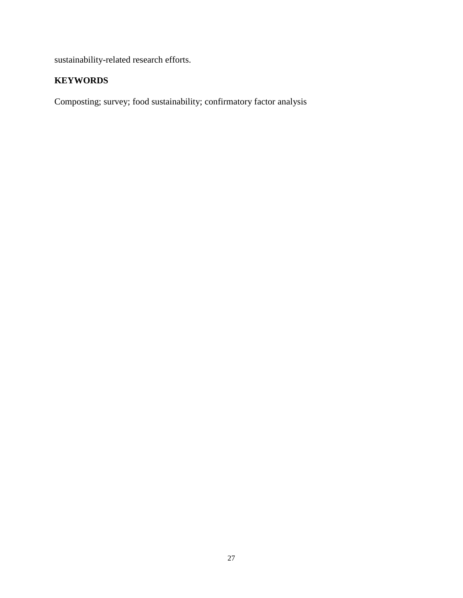sustainability-related research efforts.

# **KEYWORDS**

Composting; survey; food sustainability; confirmatory factor analysis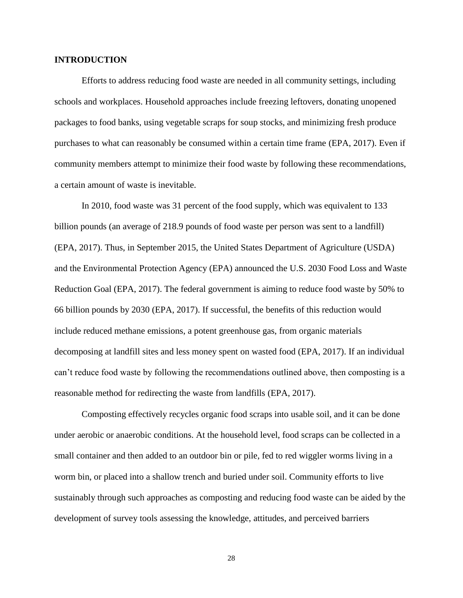#### **INTRODUCTION**

Efforts to address reducing food waste are needed in all community settings, including schools and workplaces. Household approaches include freezing leftovers, donating unopened packages to food banks, using vegetable scraps for soup stocks, and minimizing fresh produce purchases to what can reasonably be consumed within a certain time frame (EPA, 2017). Even if community members attempt to minimize their food waste by following these recommendations, a certain amount of waste is inevitable.

In 2010, food waste was 31 percent of the food supply, which was equivalent to 133 billion pounds (an average of 218.9 pounds of food waste per person was sent to a landfill) (EPA, 2017). Thus, in September 2015, the United States Department of Agriculture (USDA) and the Environmental Protection Agency (EPA) announced the U.S. 2030 Food Loss and Waste Reduction Goal (EPA, 2017). The federal government is aiming to reduce food waste by 50% to 66 billion pounds by 2030 (EPA, 2017). If successful, the benefits of this reduction would include reduced methane emissions, a potent greenhouse gas, from organic materials decomposing at landfill sites and less money spent on wasted food (EPA, 2017). If an individual can't reduce food waste by following the recommendations outlined above, then composting is a reasonable method for redirecting the waste from landfills (EPA, 2017).

Composting effectively recycles organic food scraps into usable soil, and it can be done under aerobic or anaerobic conditions. At the household level, food scraps can be collected in a small container and then added to an outdoor bin or pile, fed to red wiggler worms living in a worm bin, or placed into a shallow trench and buried under soil. Community efforts to live sustainably through such approaches as composting and reducing food waste can be aided by the development of survey tools assessing the knowledge, attitudes, and perceived barriers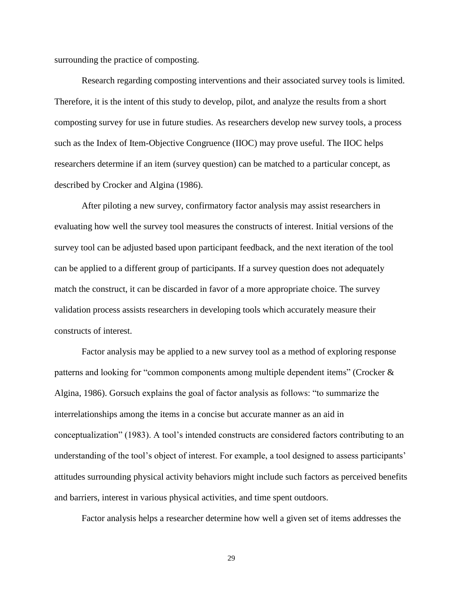surrounding the practice of composting.

Research regarding composting interventions and their associated survey tools is limited. Therefore, it is the intent of this study to develop, pilot, and analyze the results from a short composting survey for use in future studies. As researchers develop new survey tools, a process such as the Index of Item-Objective Congruence (IIOC) may prove useful. The IIOC helps researchers determine if an item (survey question) can be matched to a particular concept, as described by Crocker and Algina (1986).

After piloting a new survey, confirmatory factor analysis may assist researchers in evaluating how well the survey tool measures the constructs of interest. Initial versions of the survey tool can be adjusted based upon participant feedback, and the next iteration of the tool can be applied to a different group of participants. If a survey question does not adequately match the construct, it can be discarded in favor of a more appropriate choice. The survey validation process assists researchers in developing tools which accurately measure their constructs of interest.

Factor analysis may be applied to a new survey tool as a method of exploring response patterns and looking for "common components among multiple dependent items" (Crocker & Algina, 1986). Gorsuch explains the goal of factor analysis as follows: "to summarize the interrelationships among the items in a concise but accurate manner as an aid in conceptualization" (1983). A tool's intended constructs are considered factors contributing to an understanding of the tool's object of interest. For example, a tool designed to assess participants' attitudes surrounding physical activity behaviors might include such factors as perceived benefits and barriers, interest in various physical activities, and time spent outdoors.

Factor analysis helps a researcher determine how well a given set of items addresses the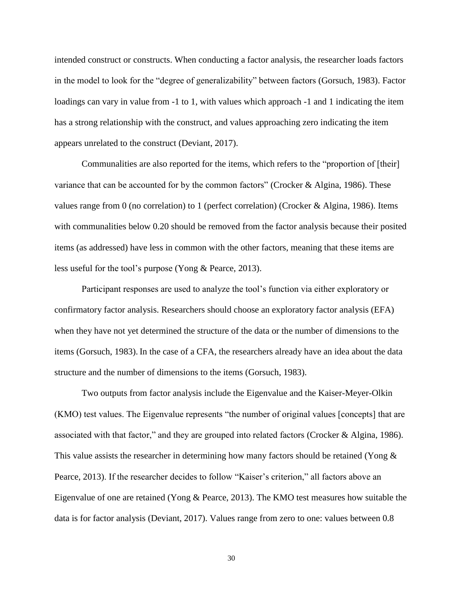intended construct or constructs. When conducting a factor analysis, the researcher loads factors in the model to look for the "degree of generalizability" between factors (Gorsuch, 1983). Factor loadings can vary in value from -1 to 1, with values which approach -1 and 1 indicating the item has a strong relationship with the construct, and values approaching zero indicating the item appears unrelated to the construct (Deviant, 2017).

Communalities are also reported for the items, which refers to the "proportion of [their] variance that can be accounted for by the common factors" (Crocker & Algina, 1986). These values range from 0 (no correlation) to 1 (perfect correlation) (Crocker & Algina, 1986). Items with communalities below 0.20 should be removed from the factor analysis because their posited items (as addressed) have less in common with the other factors, meaning that these items are less useful for the tool's purpose (Yong & Pearce, 2013).

Participant responses are used to analyze the tool's function via either exploratory or confirmatory factor analysis. Researchers should choose an exploratory factor analysis (EFA) when they have not yet determined the structure of the data or the number of dimensions to the items (Gorsuch, 1983). In the case of a CFA, the researchers already have an idea about the data structure and the number of dimensions to the items (Gorsuch, 1983).

Two outputs from factor analysis include the Eigenvalue and the Kaiser-Meyer-Olkin (KMO) test values. The Eigenvalue represents "the number of original values [concepts] that are associated with that factor," and they are grouped into related factors (Crocker & Algina, 1986). This value assists the researcher in determining how many factors should be retained (Yong & Pearce, 2013). If the researcher decides to follow "Kaiser's criterion," all factors above an Eigenvalue of one are retained (Yong & Pearce, 2013). The KMO test measures how suitable the data is for factor analysis (Deviant, 2017). Values range from zero to one: values between 0.8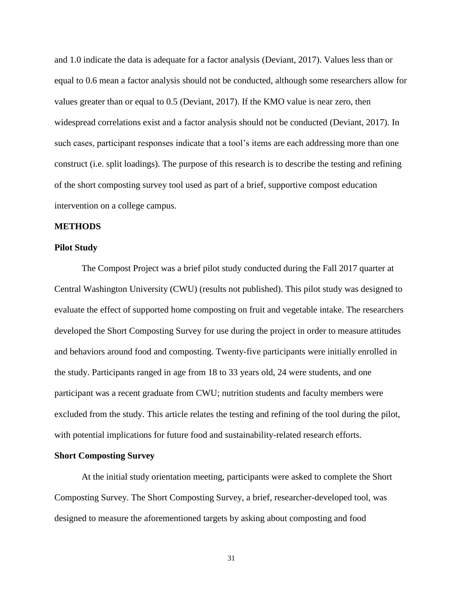and 1.0 indicate the data is adequate for a factor analysis (Deviant, 2017). Values less than or equal to 0.6 mean a factor analysis should not be conducted, although some researchers allow for values greater than or equal to 0.5 (Deviant, 2017). If the KMO value is near zero, then widespread correlations exist and a factor analysis should not be conducted (Deviant, 2017). In such cases, participant responses indicate that a tool's items are each addressing more than one construct (i.e. split loadings). The purpose of this research is to describe the testing and refining of the short composting survey tool used as part of a brief, supportive compost education intervention on a college campus.

#### **METHODS**

#### **Pilot Study**

The Compost Project was a brief pilot study conducted during the Fall 2017 quarter at Central Washington University (CWU) (results not published). This pilot study was designed to evaluate the effect of supported home composting on fruit and vegetable intake. The researchers developed the Short Composting Survey for use during the project in order to measure attitudes and behaviors around food and composting. Twenty-five participants were initially enrolled in the study. Participants ranged in age from 18 to 33 years old, 24 were students, and one participant was a recent graduate from CWU; nutrition students and faculty members were excluded from the study. This article relates the testing and refining of the tool during the pilot, with potential implications for future food and sustainability-related research efforts.

#### **Short Composting Survey**

At the initial study orientation meeting, participants were asked to complete the Short Composting Survey. The Short Composting Survey, a brief, researcher-developed tool, was designed to measure the aforementioned targets by asking about composting and food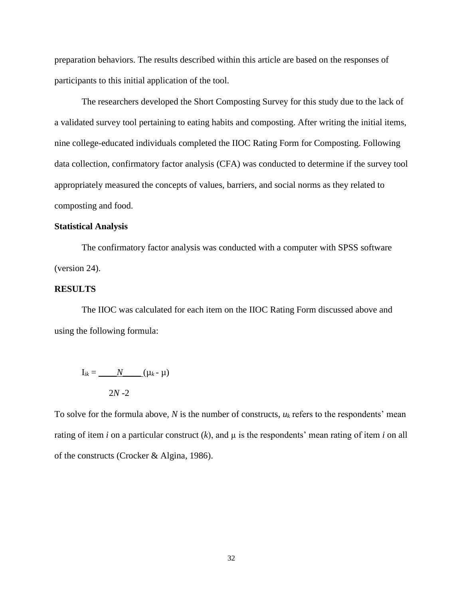preparation behaviors. The results described within this article are based on the responses of participants to this initial application of the tool.

The researchers developed the Short Composting Survey for this study due to the lack of a validated survey tool pertaining to eating habits and composting. After writing the initial items, nine college-educated individuals completed the IIOC Rating Form for Composting. Following data collection, confirmatory factor analysis (CFA) was conducted to determine if the survey tool appropriately measured the concepts of values, barriers, and social norms as they related to composting and food.

#### **Statistical Analysis**

The confirmatory factor analysis was conducted with a computer with SPSS software (version 24).

#### **RESULTS**

The IIOC was calculated for each item on the IIOC Rating Form discussed above and using the following formula:

$$
\mathbf{I}_{ik} = \underline{\qquad N \qquad (\mu_k - \mu)}
$$
  
2N - 2

To solve for the formula above, *N* is the number of constructs, *u<sup>k</sup>* refers to the respondents' mean rating of item *i* on a particular construct (*k*), and µ is the respondents' mean rating of item *i* on all of the constructs (Crocker & Algina, 1986).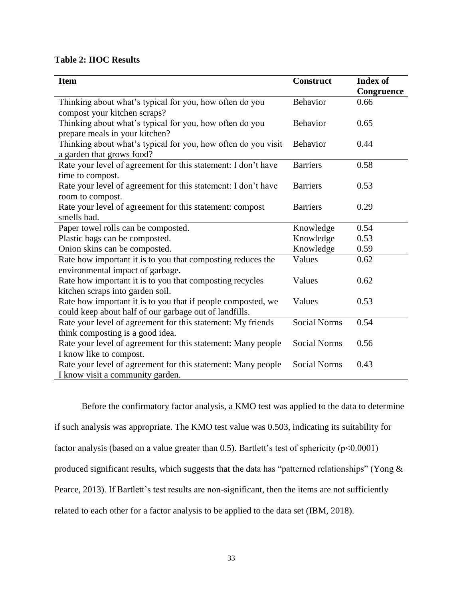## **Table 2: IIOC Results**

| <b>Item</b>                                                   | <b>Construct</b>    | <b>Index of</b><br>Congruence |
|---------------------------------------------------------------|---------------------|-------------------------------|
| Thinking about what's typical for you, how often do you       | Behavior            | 0.66                          |
| compost your kitchen scraps?                                  |                     |                               |
| Thinking about what's typical for you, how often do you       | <b>Behavior</b>     | 0.65                          |
| prepare meals in your kitchen?                                |                     |                               |
| Thinking about what's typical for you, how often do you visit | Behavior            | 0.44                          |
| a garden that grows food?                                     |                     |                               |
| Rate your level of agreement for this statement: I don't have | <b>Barriers</b>     | 0.58                          |
| time to compost.                                              |                     |                               |
| Rate your level of agreement for this statement: I don't have | <b>Barriers</b>     | 0.53                          |
| room to compost.                                              |                     |                               |
| Rate your level of agreement for this statement: compost      | <b>Barriers</b>     | 0.29                          |
| smells bad.                                                   |                     |                               |
| Paper towel rolls can be composted.                           | Knowledge           | 0.54                          |
| Plastic bags can be composted.                                | Knowledge           | 0.53                          |
| Onion skins can be composted.                                 | Knowledge           | 0.59                          |
| Rate how important it is to you that composting reduces the   | Values              | 0.62                          |
| environmental impact of garbage.                              |                     |                               |
| Rate how important it is to you that composting recycles      | Values              | 0.62                          |
| kitchen scraps into garden soil.                              |                     |                               |
| Rate how important it is to you that if people composted, we  | Values              | 0.53                          |
| could keep about half of our garbage out of landfills.        |                     |                               |
| Rate your level of agreement for this statement: My friends   | <b>Social Norms</b> | 0.54                          |
| think composting is a good idea.                              |                     |                               |
| Rate your level of agreement for this statement: Many people  | <b>Social Norms</b> | 0.56                          |
| I know like to compost.                                       |                     |                               |
| Rate your level of agreement for this statement: Many people  | <b>Social Norms</b> | 0.43                          |
| I know visit a community garden.                              |                     |                               |

Before the confirmatory factor analysis, a KMO test was applied to the data to determine

if such analysis was appropriate. The KMO test value was 0.503, indicating its suitability for

factor analysis (based on a value greater than 0.5). Bartlett's test of sphericity  $(p<0.0001)$ 

produced significant results, which suggests that the data has "patterned relationships" (Yong &

Pearce, 2013). If Bartlett's test results are non-significant, then the items are not sufficiently

related to each other for a factor analysis to be applied to the data set (IBM, 2018).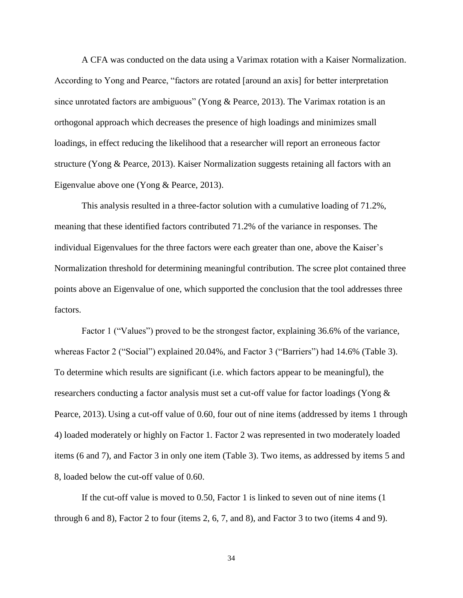A CFA was conducted on the data using a Varimax rotation with a Kaiser Normalization. According to Yong and Pearce, "factors are rotated [around an axis] for better interpretation since unrotated factors are ambiguous" (Yong & Pearce, 2013). The Varimax rotation is an orthogonal approach which decreases the presence of high loadings and minimizes small loadings, in effect reducing the likelihood that a researcher will report an erroneous factor structure (Yong & Pearce, 2013). Kaiser Normalization suggests retaining all factors with an Eigenvalue above one (Yong & Pearce, 2013).

This analysis resulted in a three-factor solution with a cumulative loading of 71.2%, meaning that these identified factors contributed 71.2% of the variance in responses. The individual Eigenvalues for the three factors were each greater than one, above the Kaiser's Normalization threshold for determining meaningful contribution. The scree plot contained three points above an Eigenvalue of one, which supported the conclusion that the tool addresses three factors.

Factor 1 ("Values") proved to be the strongest factor, explaining 36.6% of the variance, whereas Factor 2 ("Social") explained 20.04%, and Factor 3 ("Barriers") had 14.6% (Table 3). To determine which results are significant (i.e. which factors appear to be meaningful), the researchers conducting a factor analysis must set a cut-off value for factor loadings (Yong & Pearce, 2013). Using a cut-off value of 0.60, four out of nine items (addressed by items 1 through 4) loaded moderately or highly on Factor 1. Factor 2 was represented in two moderately loaded items (6 and 7), and Factor 3 in only one item (Table 3). Two items, as addressed by items 5 and 8, loaded below the cut-off value of 0.60.

If the cut-off value is moved to 0.50, Factor 1 is linked to seven out of nine items (1 through 6 and 8), Factor 2 to four (items 2, 6, 7, and 8), and Factor 3 to two (items 4 and 9).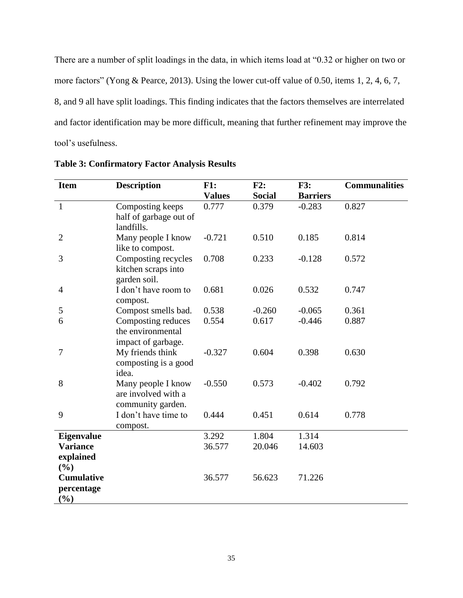There are a number of split loadings in the data, in which items load at "0.32 or higher on two or more factors" (Yong & Pearce, 2013). Using the lower cut-off value of 0.50, items 1, 2, 4, 6, 7, 8, and 9 all have split loadings. This finding indicates that the factors themselves are interrelated and factor identification may be more difficult, meaning that further refinement may improve the tool's usefulness.

| <b>Item</b>                  | <b>Description</b>                      | F1:           | F2:           | F3:             | <b>Communalities</b> |
|------------------------------|-----------------------------------------|---------------|---------------|-----------------|----------------------|
|                              |                                         | <b>Values</b> | <b>Social</b> | <b>Barriers</b> |                      |
| $\mathbf{1}$                 | Composting keeps                        | 0.777         | 0.379         | $-0.283$        | 0.827                |
|                              | half of garbage out of                  |               |               |                 |                      |
|                              | landfills.                              |               |               |                 |                      |
| $\overline{2}$               | Many people I know                      | $-0.721$      | 0.510         | 0.185           | 0.814                |
|                              | like to compost.                        |               |               |                 |                      |
| 3                            | Composting recycles                     | 0.708         | 0.233         | $-0.128$        | 0.572                |
|                              | kitchen scraps into                     |               |               |                 |                      |
|                              | garden soil.                            |               |               |                 |                      |
| $\overline{4}$               | I don't have room to                    | 0.681         | 0.026         | 0.532           | 0.747                |
|                              | compost.                                |               |               |                 |                      |
| 5                            | Compost smells bad.                     | 0.538         | $-0.260$      | $-0.065$        | 0.361                |
| 6                            | Composting reduces<br>the environmental | 0.554         | 0.617         | $-0.446$        | 0.887                |
|                              |                                         |               |               |                 |                      |
| 7                            | impact of garbage.<br>My friends think  | $-0.327$      | 0.604         | 0.398           | 0.630                |
|                              | composting is a good                    |               |               |                 |                      |
|                              | idea.                                   |               |               |                 |                      |
| 8                            | Many people I know                      | $-0.550$      | 0.573         | $-0.402$        | 0.792                |
|                              | are involved with a                     |               |               |                 |                      |
|                              | community garden.                       |               |               |                 |                      |
| 9                            | I don't have time to                    | 0.444         | 0.451         | 0.614           | 0.778                |
|                              | compost.                                |               |               |                 |                      |
| Eigenvalue                   |                                         | 3.292         | 1.804         | 1.314           |                      |
| <b>Variance</b>              |                                         | 36.577        | 20.046        | 14.603          |                      |
| explained                    |                                         |               |               |                 |                      |
| (%)                          |                                         |               |               |                 |                      |
| <b>Cumulative</b>            |                                         | 36.577        | 56.623        | 71.226          |                      |
| percentage                   |                                         |               |               |                 |                      |
| $\left( \frac{0}{0} \right)$ |                                         |               |               |                 |                      |

**Table 3: Confirmatory Factor Analysis Results**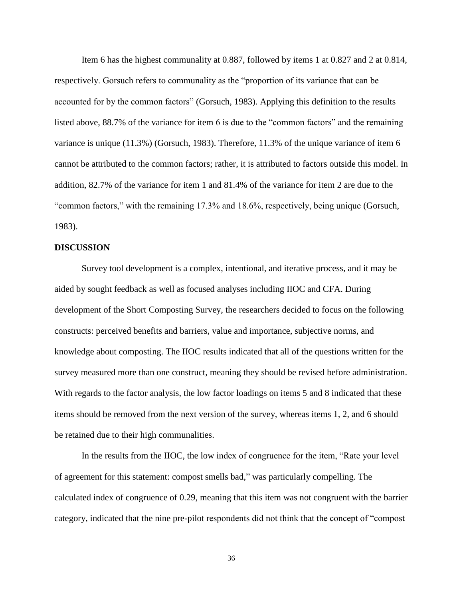Item 6 has the highest communality at 0.887, followed by items 1 at 0.827 and 2 at 0.814, respectively. Gorsuch refers to communality as the "proportion of its variance that can be accounted for by the common factors" (Gorsuch, 1983). Applying this definition to the results listed above, 88.7% of the variance for item 6 is due to the "common factors" and the remaining variance is unique (11.3%) (Gorsuch, 1983). Therefore, 11.3% of the unique variance of item 6 cannot be attributed to the common factors; rather, it is attributed to factors outside this model. In addition, 82.7% of the variance for item 1 and 81.4% of the variance for item 2 are due to the "common factors," with the remaining 17.3% and 18.6%, respectively, being unique (Gorsuch, 1983).

#### **DISCUSSION**

Survey tool development is a complex, intentional, and iterative process, and it may be aided by sought feedback as well as focused analyses including IIOC and CFA. During development of the Short Composting Survey, the researchers decided to focus on the following constructs: perceived benefits and barriers, value and importance, subjective norms, and knowledge about composting. The IIOC results indicated that all of the questions written for the survey measured more than one construct, meaning they should be revised before administration. With regards to the factor analysis, the low factor loadings on items 5 and 8 indicated that these items should be removed from the next version of the survey, whereas items 1, 2, and 6 should be retained due to their high communalities.

In the results from the IIOC, the low index of congruence for the item, "Rate your level of agreement for this statement: compost smells bad," was particularly compelling. The calculated index of congruence of 0.29, meaning that this item was not congruent with the barrier category, indicated that the nine pre-pilot respondents did not think that the concept of "compost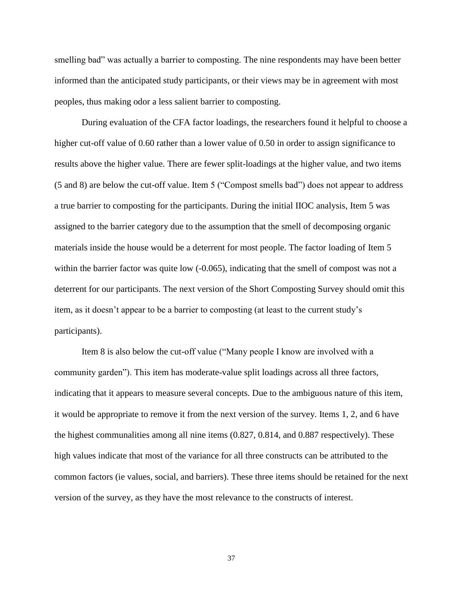smelling bad" was actually a barrier to composting. The nine respondents may have been better informed than the anticipated study participants, or their views may be in agreement with most peoples, thus making odor a less salient barrier to composting.

During evaluation of the CFA factor loadings, the researchers found it helpful to choose a higher cut-off value of 0.60 rather than a lower value of 0.50 in order to assign significance to results above the higher value. There are fewer split-loadings at the higher value, and two items (5 and 8) are below the cut-off value. Item 5 ("Compost smells bad") does not appear to address a true barrier to composting for the participants. During the initial IIOC analysis, Item 5 was assigned to the barrier category due to the assumption that the smell of decomposing organic materials inside the house would be a deterrent for most people. The factor loading of Item 5 within the barrier factor was quite low (-0.065), indicating that the smell of compost was not a deterrent for our participants. The next version of the Short Composting Survey should omit this item, as it doesn't appear to be a barrier to composting (at least to the current study's participants).

Item 8 is also below the cut-off value ("Many people I know are involved with a community garden"). This item has moderate-value split loadings across all three factors, indicating that it appears to measure several concepts. Due to the ambiguous nature of this item, it would be appropriate to remove it from the next version of the survey. Items 1, 2, and 6 have the highest communalities among all nine items (0.827, 0.814, and 0.887 respectively). These high values indicate that most of the variance for all three constructs can be attributed to the common factors (ie values, social, and barriers). These three items should be retained for the next version of the survey, as they have the most relevance to the constructs of interest.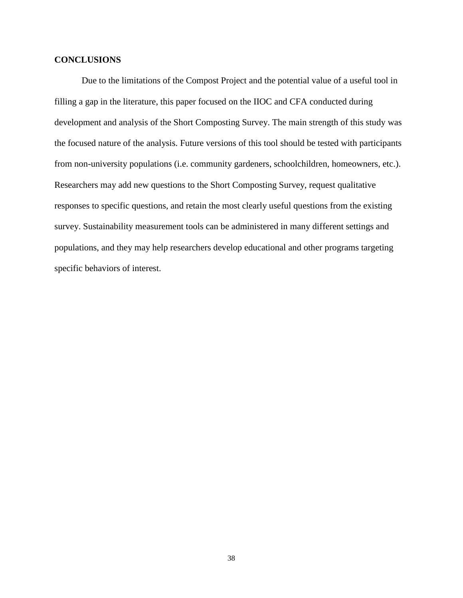## **CONCLUSIONS**

Due to the limitations of the Compost Project and the potential value of a useful tool in filling a gap in the literature, this paper focused on the IIOC and CFA conducted during development and analysis of the Short Composting Survey. The main strength of this study was the focused nature of the analysis. Future versions of this tool should be tested with participants from non-university populations (i.e. community gardeners, schoolchildren, homeowners, etc.). Researchers may add new questions to the Short Composting Survey, request qualitative responses to specific questions, and retain the most clearly useful questions from the existing survey. Sustainability measurement tools can be administered in many different settings and populations, and they may help researchers develop educational and other programs targeting specific behaviors of interest.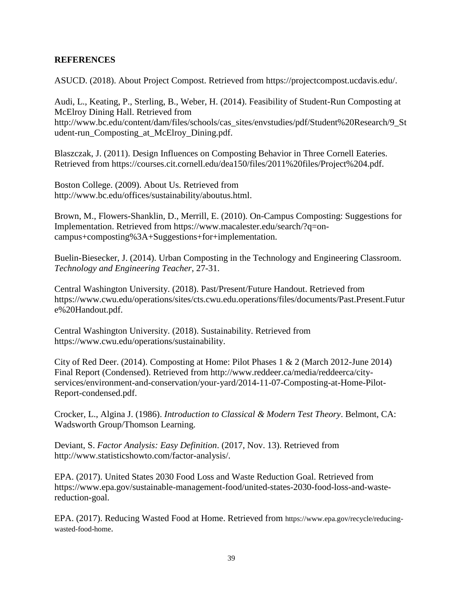## **REFERENCES**

ASUCD. (2018). About Project Compost. Retrieved from https://projectcompost.ucdavis.edu/.

Audi, L., Keating, P., Sterling, B., Weber, H. (2014). Feasibility of Student-Run Composting at McElroy Dining Hall. Retrieved from http://www.bc.edu/content/dam/files/schools/cas\_sites/envstudies/pdf/Student%20Research/9\_St udent-run\_Composting\_at\_McElroy\_Dining.pdf.

Blaszczak, J. (2011). Design Influences on Composting Behavior in Three Cornell Eateries. Retrieved from https://courses.cit.cornell.edu/dea150/files/2011%20files/Project%204.pdf.

Boston College. (2009). About Us. Retrieved from http://www.bc.edu/offices/sustainability/aboutus.html.

Brown, M., Flowers-Shanklin, D., Merrill, E. (2010). On-Campus Composting: Suggestions for Implementation. Retrieved from https://www.macalester.edu/search/?q=oncampus+composting%3A+Suggestions+for+implementation.

Buelin-Biesecker, J. (2014). Urban Composting in the Technology and Engineering Classroom. *Technology and Engineering Teacher*, 27-31.

Central Washington University. (2018). Past/Present/Future Handout. Retrieved from https://www.cwu.edu/operations/sites/cts.cwu.edu.operations/files/documents/Past.Present.Futur e%20Handout.pdf.

Central Washington University. (2018). Sustainability. Retrieved from https://www.cwu.edu/operations/sustainability.

City of Red Deer. (2014). Composting at Home: Pilot Phases 1 & 2 (March 2012-June 2014) Final Report (Condensed). Retrieved from http://www.reddeer.ca/media/reddeerca/cityservices/environment-and-conservation/your-yard/2014-11-07-Composting-at-Home-Pilot-Report-condensed.pdf.

Crocker, L., Algina J. (1986). *Introduction to Classical & Modern Test Theory*. Belmont, CA: Wadsworth Group/Thomson Learning.

Deviant, S. *Factor Analysis: Easy Definition*. (2017, Nov. 13). Retrieved from http://www.statisticshowto.com/factor-analysis/.

EPA. (2017). United States 2030 Food Loss and Waste Reduction Goal. Retrieved from https://www.epa.gov/sustainable-management-food/united-states-2030-food-loss-and-wastereduction-goal.

EPA. (2017). Reducing Wasted Food at Home. Retrieved from https://www.epa.gov/recycle/reducingwasted-food-home.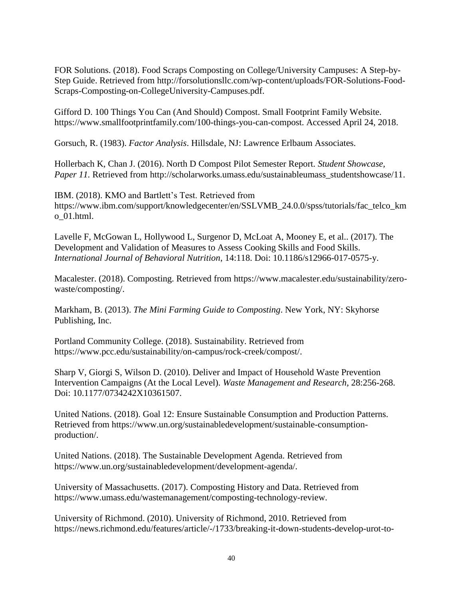FOR Solutions. (2018). Food Scraps Composting on College/University Campuses: A Step-by-Step Guide. Retrieved from http://forsolutionsllc.com/wp-content/uploads/FOR-Solutions-Food-Scraps-Composting-on-CollegeUniversity-Campuses.pdf.

Gifford D. 100 Things You Can (And Should) Compost. Small Footprint Family Website. https://www.smallfootprintfamily.com/100-things-you-can-compost. Accessed April 24, 2018.

Gorsuch, R. (1983). *Factor Analysis*. Hillsdale, NJ: Lawrence Erlbaum Associates.

Hollerbach K, Chan J. (2016). North D Compost Pilot Semester Report. *Student Showcase, Paper 11.* Retrieved from http://scholarworks.umass.edu/sustainableumass\_studentshowcase/11.

IBM. (2018). KMO and Bartlett's Test. Retrieved from https://www.ibm.com/support/knowledgecenter/en/SSLVMB\_24.0.0/spss/tutorials/fac\_telco\_km o\_01.html.

Lavelle F, McGowan L, Hollywood L, Surgenor D, McLoat A, Mooney E, et al.. (2017). The Development and Validation of Measures to Assess Cooking Skills and Food Skills. *International Journal of Behavioral Nutrition*, 14:118. Doi: 10.1186/s12966-017-0575-y.

Macalester. (2018). Composting. Retrieved from https://www.macalester.edu/sustainability/zerowaste/composting/.

Markham, B. (2013). *The Mini Farming Guide to Composting*. New York, NY: Skyhorse Publishing, Inc.

Portland Community College. (2018). Sustainability. Retrieved from https://www.pcc.edu/sustainability/on-campus/rock-creek/compost/.

Sharp V, Giorgi S, Wilson D. (2010). Deliver and Impact of Household Waste Prevention Intervention Campaigns (At the Local Level). *Waste Management and Research*, 28:256-268. Doi: 10.1177/0734242X10361507.

United Nations. (2018). Goal 12: Ensure Sustainable Consumption and Production Patterns. Retrieved from https://www.un.org/sustainabledevelopment/sustainable-consumptionproduction/.

United Nations. (2018). The Sustainable Development Agenda. Retrieved from https://www.un.org/sustainabledevelopment/development-agenda/.

University of Massachusetts. (2017). Composting History and Data. Retrieved from https://www.umass.edu/wastemanagement/composting-technology-review.

University of Richmond. (2010). University of Richmond, 2010. Retrieved from https://news.richmond.edu/features/article/-/1733/breaking-it-down-students-develop-urot-to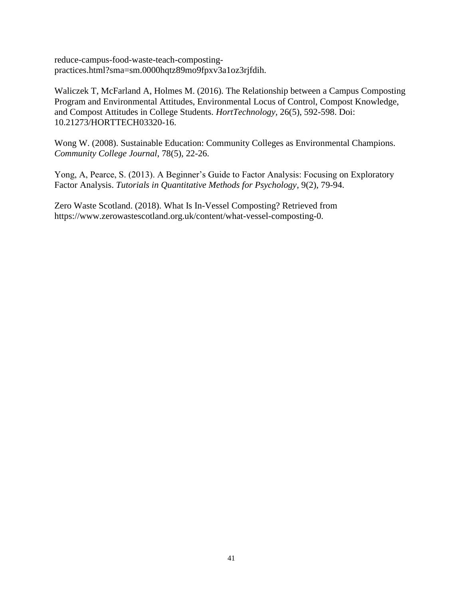reduce-campus-food-waste-teach-compostingpractices.html?sma=sm.0000hqtz89mo9fpxv3a1oz3rjfdih.

Waliczek T, McFarland A, Holmes M. (2016). The Relationship between a Campus Composting Program and Environmental Attitudes, Environmental Locus of Control, Compost Knowledge, and Compost Attitudes in College Students. *HortTechnology,* 26(5), 592-598. Doi: 10.21273/HORTTECH03320-16.

Wong W. (2008). Sustainable Education: Community Colleges as Environmental Champions. *Community College Journal*, 78(5), 22-26.

Yong, A, Pearce, S. (2013). A Beginner's Guide to Factor Analysis: Focusing on Exploratory Factor Analysis. *Tutorials in Quantitative Methods for Psychology*, 9(2), 79-94.

Zero Waste Scotland. (2018). What Is In-Vessel Composting? Retrieved from https://www.zerowastescotland.org.uk/content/what-vessel-composting-0.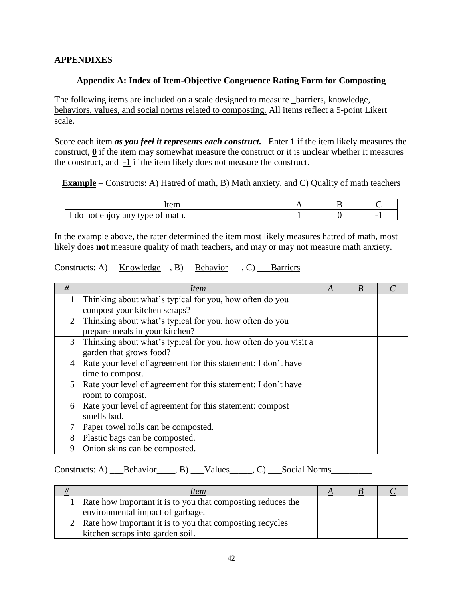## **APPENDIXES**

## **Appendix A: Index of Item-Objective Congruence Rating Form for Composting**

The following items are included on a scale designed to measure *\_barriers*, knowledge, behaviors, values, and social norms related to composting. All items reflect a 5-point Likert scale.

Score each item *as you feel it represents each construct.* Enter **1** if the item likely measures the construct, **0** if the item may somewhat measure the construct or it is unclear whether it measures the construct, and **-1** if the item likely does not measure the construct.

**Example** – Constructs: A) Hatred of math, B) Math anxiety, and C) Quality of math teachers

| ∙em                              |  |                          |
|----------------------------------|--|--------------------------|
| I do not enjoy any type of math. |  | $\overline{\phantom{0}}$ |

In the example above, the rater determined the item most likely measures hatred of math, most likely does **not** measure quality of math teachers, and may or may not measure math anxiety.

| Constructs: A) | Knowledge |  | <b>Behavior</b> |  | Barriers |
|----------------|-----------|--|-----------------|--|----------|
|----------------|-----------|--|-----------------|--|----------|

| $\#$           | Item                                                            | A | B |  |
|----------------|-----------------------------------------------------------------|---|---|--|
|                | Thinking about what's typical for you, how often do you         |   |   |  |
|                | compost your kitchen scraps?                                    |   |   |  |
| $\overline{2}$ | Thinking about what's typical for you, how often do you         |   |   |  |
|                | prepare meals in your kitchen?                                  |   |   |  |
| $\mathfrak{Z}$ | Thinking about what's typical for you, how often do you visit a |   |   |  |
|                | garden that grows food?                                         |   |   |  |
| 4              | Rate your level of agreement for this statement: I don't have   |   |   |  |
|                | time to compost.                                                |   |   |  |
| 5              | Rate your level of agreement for this statement: I don't have   |   |   |  |
|                | room to compost.                                                |   |   |  |
| 6              | Rate your level of agreement for this statement: compost        |   |   |  |
|                | smells bad.                                                     |   |   |  |
|                | Paper towel rolls can be composted.                             |   |   |  |
| 8              | Plastic bags can be composted.                                  |   |   |  |
| 9              | Onion skins can be composted.                                   |   |   |  |

# Constructs: A) \_\_\_<u>Behavior</u> \_\_\_, B) \_\_\_Values \_\_\_\_, C) \_\_\_<u>Social Norms</u>

| 77 | Item                                                            | A |  |
|----|-----------------------------------------------------------------|---|--|
|    | 1   Rate how important it is to you that composting reduces the |   |  |
|    | environmental impact of garbage.                                |   |  |
|    | 2   Rate how important it is to you that composting recycles    |   |  |
|    | kitchen scraps into garden soil.                                |   |  |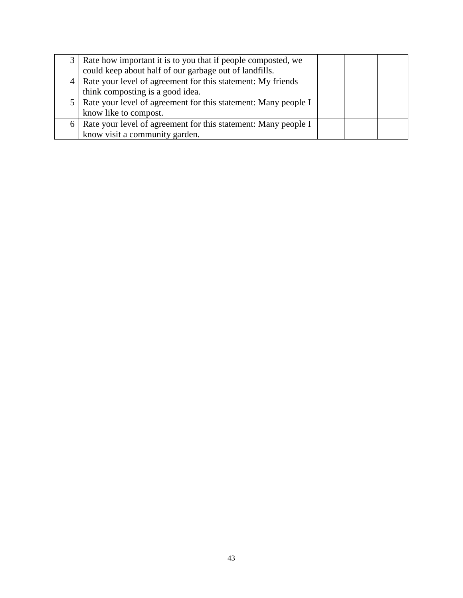| 3 <sup>1</sup> | Rate how important it is to you that if people composted, we       |  |  |
|----------------|--------------------------------------------------------------------|--|--|
|                | could keep about half of our garbage out of landfills.             |  |  |
|                | 4   Rate your level of agreement for this statement: My friends    |  |  |
|                | think composting is a good idea.                                   |  |  |
|                | 5   Rate your level of agreement for this statement: Many people I |  |  |
|                | know like to compost.                                              |  |  |
|                | 6   Rate your level of agreement for this statement: Many people I |  |  |
|                | know visit a community garden.                                     |  |  |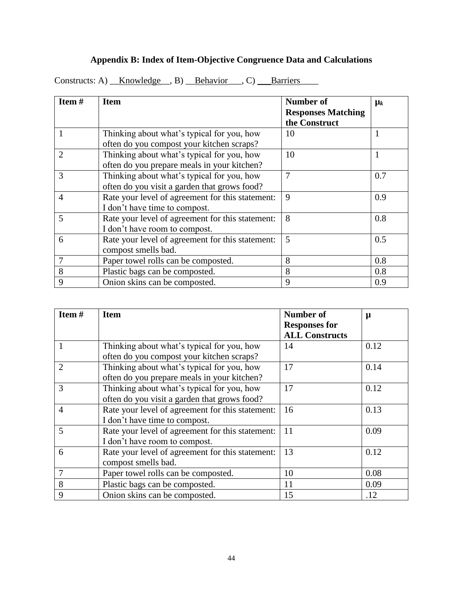# **Appendix B: Index of Item-Objective Congruence Data and Calculations**

Constructs: A)  $\underline{\quad Knowledge\quad}$ , B)  $\underline{\quad Behavior\quad}$ , C)  $\underline{\quad \quad Barriers\quad}$ 

| Item $#$       | <b>Item</b>                                      | <b>Number of</b><br><b>Responses Matching</b> | $\mu_k$ |
|----------------|--------------------------------------------------|-----------------------------------------------|---------|
|                |                                                  | the Construct                                 |         |
|                | Thinking about what's typical for you, how       | 10                                            | 1       |
|                | often do you compost your kitchen scraps?        |                                               |         |
| $\overline{2}$ | Thinking about what's typical for you, how       | 10                                            | 1       |
|                | often do you prepare meals in your kitchen?      |                                               |         |
| 3              | Thinking about what's typical for you, how       | $\overline{7}$                                | 0.7     |
|                | often do you visit a garden that grows food?     |                                               |         |
| $\overline{4}$ | Rate your level of agreement for this statement: | 9                                             | 0.9     |
|                | I don't have time to compost.                    |                                               |         |
| 5              | Rate your level of agreement for this statement: | 8                                             | 0.8     |
|                | I don't have room to compost.                    |                                               |         |
| 6              | Rate your level of agreement for this statement: | 5                                             | 0.5     |
|                | compost smells bad.                              |                                               |         |
|                | Paper towel rolls can be composted.              | 8                                             | 0.8     |
| 8              | Plastic bags can be composted.                   | 8                                             | 0.8     |
| 9              | Onion skins can be composted.                    | 9                                             | 0.9     |

| Item#          | <b>Item</b>                                      | <b>Number of</b>      | $\mu$ |
|----------------|--------------------------------------------------|-----------------------|-------|
|                |                                                  | <b>Responses for</b>  |       |
|                |                                                  | <b>ALL Constructs</b> |       |
|                | Thinking about what's typical for you, how       | 14                    | 0.12  |
|                | often do you compost your kitchen scraps?        |                       |       |
| 2              | Thinking about what's typical for you, how       | 17                    | 0.14  |
|                | often do you prepare meals in your kitchen?      |                       |       |
| 3              | Thinking about what's typical for you, how       | 17                    | 0.12  |
|                | often do you visit a garden that grows food?     |                       |       |
| $\overline{4}$ | Rate your level of agreement for this statement: | 16                    | 0.13  |
|                | I don't have time to compost.                    |                       |       |
| 5              | Rate your level of agreement for this statement: | 11                    | 0.09  |
|                | I don't have room to compost.                    |                       |       |
| 6              | Rate your level of agreement for this statement: | 13                    | 0.12  |
|                | compost smells bad.                              |                       |       |
| $\overline{7}$ | Paper towel rolls can be composted.              | 10                    | 0.08  |
| 8              | Plastic bags can be composted.                   | 11                    | 0.09  |
| 9              | Onion skins can be composted.                    | 15                    | .12   |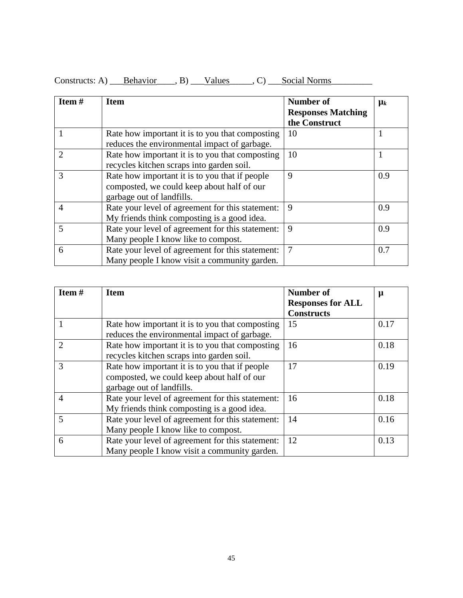| Item $#$       | <b>Item</b>                                                                                                               | Number of<br><b>Responses Matching</b><br>the Construct | $\mu_k$ |  |
|----------------|---------------------------------------------------------------------------------------------------------------------------|---------------------------------------------------------|---------|--|
|                | Rate how important it is to you that composting<br>reduces the environmental impact of garbage.                           | 10                                                      | 1       |  |
| $\mathcal{D}$  | Rate how important it is to you that composting<br>recycles kitchen scraps into garden soil.                              | 10                                                      |         |  |
| 3              | Rate how important it is to you that if people<br>composted, we could keep about half of our<br>garbage out of landfills. | 9                                                       | 0.9     |  |
| $\overline{4}$ | Rate your level of agreement for this statement:<br>My friends think composting is a good idea.                           | 9                                                       | 0.9     |  |
| 5              | Rate your level of agreement for this statement:<br>Many people I know like to compost.                                   | 9                                                       | 0.9     |  |
| 6              | Rate your level of agreement for this statement:<br>Many people I know visit a community garden.                          | $\overline{7}$                                          | 0.7     |  |

Constructs: A) <u>Behavior</u>, B) Values C) Social Norms

| Item# | <b>Item</b>                                      | <b>Number of</b>         | μ    |
|-------|--------------------------------------------------|--------------------------|------|
|       |                                                  | <b>Responses for ALL</b> |      |
|       |                                                  | <b>Constructs</b>        |      |
|       | Rate how important it is to you that composting  | 15                       | 0.17 |
|       | reduces the environmental impact of garbage.     |                          |      |
| 2     | Rate how important it is to you that composting  | 16                       | 0.18 |
|       | recycles kitchen scraps into garden soil.        |                          |      |
| 3     | Rate how important it is to you that if people   | 17                       | 0.19 |
|       | composted, we could keep about half of our       |                          |      |
|       | garbage out of landfills.                        |                          |      |
| 4     | Rate your level of agreement for this statement: | 16                       | 0.18 |
|       | My friends think composting is a good idea.      |                          |      |
|       | Rate your level of agreement for this statement: | 14                       | 0.16 |
|       | Many people I know like to compost.              |                          |      |
| 6     | Rate your level of agreement for this statement: | 12                       | 0.13 |
|       | Many people I know visit a community garden.     |                          |      |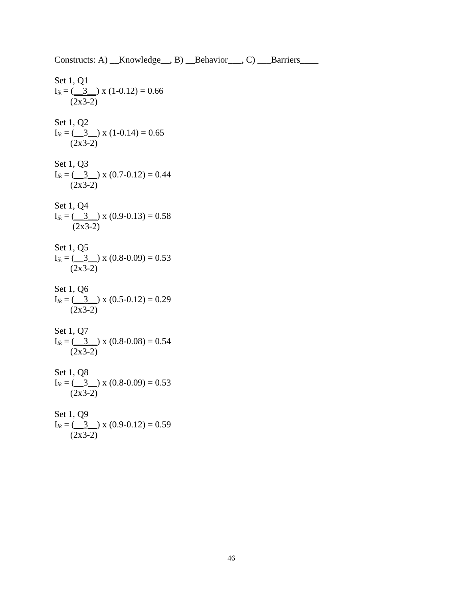Set 1, Q1  $I_{ik} = ($   $3$   $)$  x (1-0.12) = 0.66 (2x3-2) Set 1, Q2  $I_{ik} = (\underline{3} \underline{3}) \times (1 - 0.14) = 0.65$  $(2x3-2)$ Set 1, Q3  $I_{ik} = ($   $3$   $)$  x (0.7-0.12) = 0.44  $(2x3-2)$ Set 1, Q4  $I_{ik} = ($   $\underline{3}$   $)$  x (0.9-0.13) = 0.58 (2x3-2) Set 1, Q5  $I_{ik} = ($  3  $)$  x (0.8-0.09) = 0.53  $(2x3-2)$ Set 1, Q6  $I_{ik} = ($   $\underline{3}$  x (0.5-0.12) = 0.29 (2x3-2) Set 1, Q7  $I_{ik} = ($  3  $\rightarrow$  x (0.8-0.08) = 0.54  $(2x3-2)$ Set 1, Q8  $I_{ik} = ($  3  $\rightarrow$  x (0.8-0.09) = 0.53 (2x3-2) Set 1, Q9  $I_{ik} = \left(\frac{3}{\sqrt{3}}\right)$  x (0.9-0.12) = 0.59  $(2x3-2)$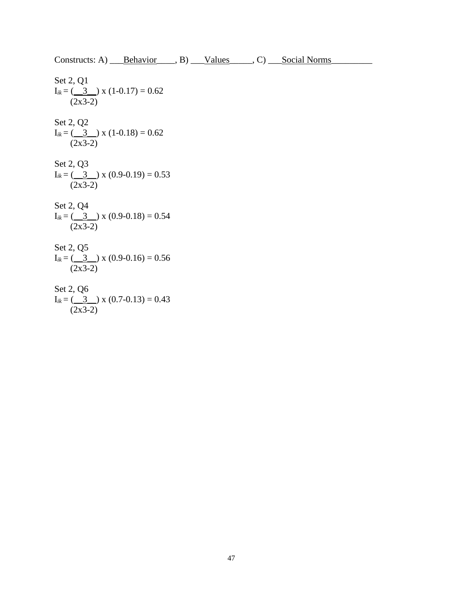Constructs: A) Behavior 5. B) Values 6. C) Social Norms

Set 2, Q1  $I_{ik} = ($   $\underline{3}$  x (1-0.17) = 0.62  $(2x3-2)$ Set 2, Q2  $I_{ik} = ($   $3$   $)$  x (1-0.18) = 0.62 (2x3-2) Set 2, Q3  $I_{ik} = ($  3  $\rightarrow$  x (0.9-0.19) = 0.53  $(2x3-2)$ Set 2, Q4  $I_{ik} = (3 \nvert x \nvert (0.9-0.18) = 0.54$  $(2x3-2)$ Set 2, Q5  $I_{ik} = ($  3  $\rightarrow$  x (0.9-0.16) = 0.56  $(2x3-2)$  $S_{\text{et}}$  2,  $\Omega$ 6

Set 2, Q6  
\n
$$
I_{ik} = \underbrace{(3)}_{(2x3-2)} x (0.7-0.13) = 0.43
$$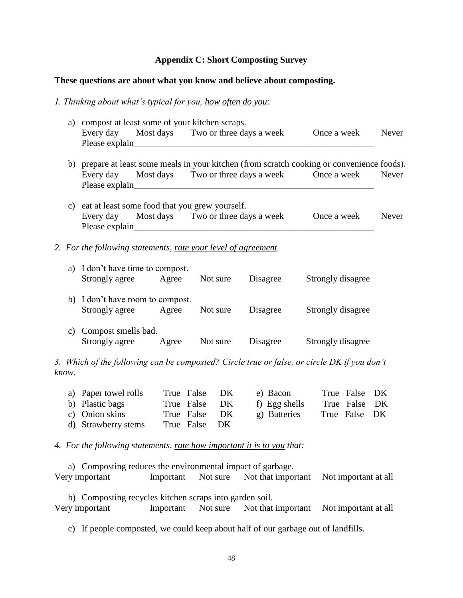## **Appendix C: Short Composting Survey**

### **These questions are about what you know and believe about composting.**

#### *1. Thinking about what's typical for you, how often do you:*

| a) compost at least some of your kitchen scraps. |                                                                                             |  |  |  |                                                                |              |
|--------------------------------------------------|---------------------------------------------------------------------------------------------|--|--|--|----------------------------------------------------------------|--------------|
|                                                  | Please explain<br><u>Please</u> explain                                                     |  |  |  | Every day Most days Two or three days a week Once a week Never |              |
|                                                  | b) prepare at least some meals in your kitchen (from scratch cooking or convenience foods). |  |  |  |                                                                |              |
|                                                  |                                                                                             |  |  |  | Every day Most days Two or three days a week Once a week       | Never        |
|                                                  | c) eat at least some food that you grew yourself.                                           |  |  |  |                                                                |              |
|                                                  | Every day Most days Two or three days a week Once a week                                    |  |  |  |                                                                | <b>Never</b> |
|                                                  | 2. For the following statements, rate your level of agreement.                              |  |  |  |                                                                |              |
|                                                  | a) I don't have time to compost.                                                            |  |  |  |                                                                |              |
|                                                  | Strongly agree Agree Not sure Disagree                                                      |  |  |  | Strongly disagree                                              |              |
|                                                  | b) I don't have room to compost.<br>Strongly agree Agree Not sure Disagree                  |  |  |  | Strongly disagree                                              |              |
| C)                                               | Compost smells bad.<br>Strongly agree Agree Not sure Disagree                               |  |  |  | Strongly disagree                                              |              |
|                                                  |                                                                                             |  |  |  |                                                                |              |

*3. Which of the following can be composted? Circle true or false, or circle DK if you don't know.*

| a) Paper towel rolls | True False DK | e) Bacon      | True False DK |  |
|----------------------|---------------|---------------|---------------|--|
| b) Plastic bags      | True False DK | f) Egg shells | True False DK |  |
| c) Onion skins       | True False DK | g) Batteries  | True False DK |  |
| d) Strawberry stems  | True False DK |               |               |  |

*4. For the following statements, rate how important it is to you that:*

a) Composting reduces the environmental impact of garbage. Very important Important Not sure Not that important Not important at all

b) Composting recycles kitchen scraps into garden soil. Very important Important Not sure Not that important Not important at all

c) If people composted, we could keep about half of our garbage out of landfills.